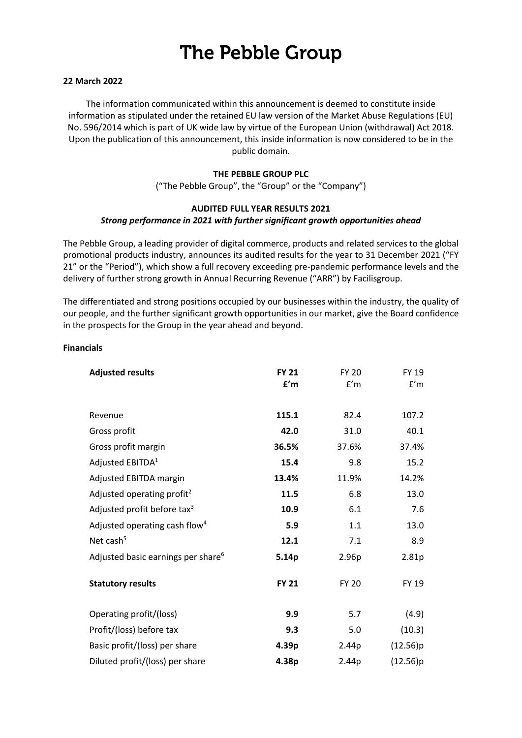# **The Pebble Group**

#### **22 March 2022**

The information communicated within this announcement is deemed to constitute inside information as stipulated under the retained EU law version of the Market Abuse Regulations (EU) No. 596/2014 which is part of UK wide law by virtue of the European Union (withdrawal) Act 2018. Upon the publication of this announcement, this inside information is now considered to be in the public domain.

#### **THE PEBBLE GROUP PLC**

("The Pebble Group", the "Group" or the "Company")

#### **AUDITED FULL YEAR RESULTS 2021** *Strong performance in 2021 with further significant growth opportunities ahead*

The Pebble Group, a leading provider of digital commerce, products and related services to the global promotional products industry, announces its audited results for the year to 31 December 2021 ("FY 21" or the "Period"), which show a full recovery exceeding pre-pandemic performance levels and the delivery of further strong growth in Annual Recurring Revenue ("ARR") by Facilisgroup.

The differentiated and strong positions occupied by our businesses within the industry, the quality of our people, and the further significant growth opportunities in our market, give the Board confidence in the prospects for the Group in the year ahead and beyond.

#### **Financials**

| <b>Adjusted results</b>                        | <b>FY 21</b><br>f'm | <b>FY 20</b><br>f'm | <b>FY 19</b><br>f'm |
|------------------------------------------------|---------------------|---------------------|---------------------|
| Revenue                                        | 115.1               | 82.4                | 107.2               |
| Gross profit                                   | 42.0                | 31.0                | 40.1                |
| Gross profit margin                            | 36.5%               | 37.6%               | 37.4%               |
| Adjusted EBITDA <sup>1</sup>                   | 15.4                | 9.8                 | 15.2                |
| Adjusted EBITDA margin                         | 13.4%               | 11.9%               | 14.2%               |
| Adjusted operating profit <sup>2</sup>         | 11.5                | 6.8                 | 13.0                |
| Adjusted profit before tax <sup>3</sup>        | 10.9                | 6.1                 | 7.6                 |
| Adjusted operating cash flow <sup>4</sup>      | 5.9                 | 1.1                 | 13.0                |
| Net cash <sup>5</sup>                          | 12.1                | 7.1                 | 8.9                 |
| Adjusted basic earnings per share <sup>6</sup> | 5.14p               | 2.96p               | 2.81p               |
| <b>Statutory results</b>                       | <b>FY 21</b>        | <b>FY 20</b>        | FY 19               |
| Operating profit/(loss)                        | 9.9                 | 5.7                 | (4.9)               |
| Profit/(loss) before tax                       | 9.3                 | 5.0                 | (10.3)              |
| Basic profit/(loss) per share                  | 4.39p               | 2.44p               | (12.56)p            |
| Diluted profit/(loss) per share                | 4.38p               | 2.44p               | (12.56)p            |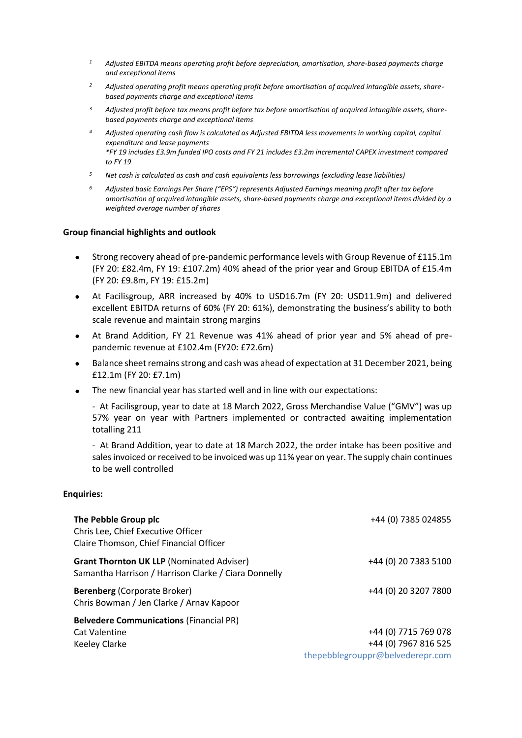- *<sup>1</sup> Adjusted EBITDA means operating profit before depreciation, amortisation, share-based payments charge and exceptional items*
- *<sup>2</sup> Adjusted operating profit means operating profit before amortisation of acquired intangible assets, sharebased payments charge and exceptional items*
- *<sup>3</sup> Adjusted profit before tax means profit before tax before amortisation of acquired intangible assets, sharebased payments charge and exceptional items*
- *<sup>4</sup> Adjusted operating cash flow is calculated as Adjusted EBITDA less movements in working capital, capital expenditure and lease payments \*FY 19 includes £3.9m funded IPO costs and FY 21 includes £3.2m incremental CAPEX investment compared to FY 19*
- *<sup>5</sup> Net cash is calculated as cash and cash equivalents less borrowings (excluding lease liabilities)*
- *<sup>6</sup> Adjusted basic Earnings Per Share ("EPS") represents Adjusted Earnings meaning profit after tax before amortisation of acquired intangible assets, share-based payments charge and exceptional items divided by a weighted average number of shares*

#### **Group financial highlights and outlook**

- Strong recovery ahead of pre-pandemic performance levels with Group Revenue of £115.1m (FY 20: £82.4m, FY 19: £107.2m) 40% ahead of the prior year and Group EBITDA of £15.4m (FY 20: £9.8m, FY 19: £15.2m)
- At Facilisgroup, ARR increased by 40% to USD16.7m (FY 20: USD11.9m) and delivered excellent EBITDA returns of 60% (FY 20: 61%), demonstrating the business's ability to both scale revenue and maintain strong margins
- At Brand Addition, FY 21 Revenue was 41% ahead of prior year and 5% ahead of prepandemic revenue at £102.4m (FY20: £72.6m)
- Balance sheet remains strong and cash was ahead of expectation at 31 December 2021, being £12.1m (FY 20: £7.1m)
- The new financial year has started well and in line with our expectations:

- At Facilisgroup, year to date at 18 March 2022, Gross Merchandise Value ("GMV") was up 57% year on year with Partners implemented or contracted awaiting implementation totalling 211

- At Brand Addition, year to date at 18 March 2022, the order intake has been positive and sales invoiced or received to be invoiced was up 11% year on year. The supply chain continues to be well controlled

#### **Enquiries:**

| The Pebble Group plc<br>Chris Lee, Chief Executive Officer<br>Claire Thomson, Chief Financial Officer    | +44 (0) 7385 024855                                                              |
|----------------------------------------------------------------------------------------------------------|----------------------------------------------------------------------------------|
| <b>Grant Thornton UK LLP (Nominated Adviser)</b><br>Samantha Harrison / Harrison Clarke / Ciara Donnelly | +44 (0) 20 7383 5100                                                             |
| <b>Berenberg (Corporate Broker)</b><br>Chris Bowman / Jen Clarke / Arnav Kapoor                          | +44 (0) 20 3207 7800                                                             |
| <b>Belvedere Communications (Financial PR)</b><br><b>Cat Valentine</b><br><b>Keeley Clarke</b>           | +44 (0) 7715 769 078<br>+44 (0) 7967 816 525<br>thepebblegrouppr@belvederepr.com |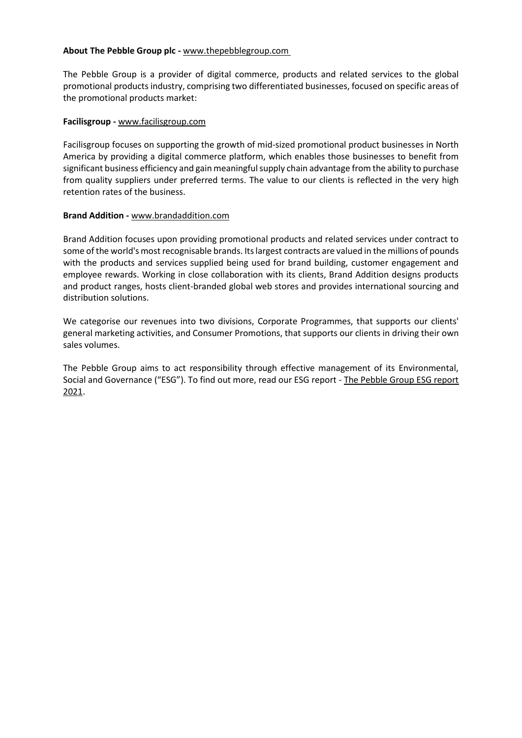#### **About The Pebble Group plc -** [www.thepebblegroup.com](http://www.thepebblegroup.com/)

The Pebble Group is a provider of digital commerce, products and related services to the global promotional products industry, comprising two differentiated businesses, focused on specific areas of the promotional products market:

#### **Facilisgroup** *-* [www.facilisgroup.com](https://www.facilisgroup.com/)

Facilisgroup focuses on supporting the growth of mid-sized promotional product businesses in North America by providing a digital commerce platform, which enables those businesses to benefit from significant business efficiency and gain meaningful supply chain advantage from the ability to purchase from quality suppliers under preferred terms. The value to our clients is reflected in the very high retention rates of the business.

#### **Brand Addition -** [www.brandaddition.com](http://www.brandaddition.com/)

Brand Addition focuses upon providing promotional products and related services under contract to some of the world's most recognisable brands. Its largest contracts are valued in the millions of pounds with the products and services supplied being used for brand building, customer engagement and employee rewards. Working in close collaboration with its clients, Brand Addition designs products and product ranges, hosts client-branded global web stores and provides international sourcing and distribution solutions.

We categorise our revenues into two divisions, Corporate Programmes, that supports our clients' general marketing activities, and Consumer Promotions, that supports our clients in driving their own sales volumes.

The Pebble Group aims to act responsibility through effective management of its Environmental, Social and Governance ("ESG"). To find out more, read our ESG report - [The Pebble Group ESG report](https://www.thepebblegroup.com/application/files/3116/3308/1976/The_Pebble_Group_plc_ESG_Report_2021.pdf)  [2021.](https://www.thepebblegroup.com/application/files/3116/3308/1976/The_Pebble_Group_plc_ESG_Report_2021.pdf)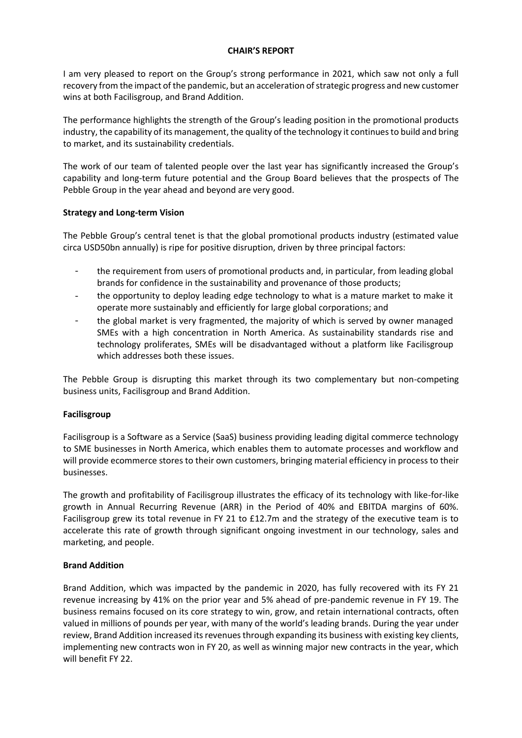#### **CHAIR'S REPORT**

I am very pleased to report on the Group's strong performance in 2021, which saw not only a full recovery from the impact of the pandemic, but an acceleration of strategic progress and new customer wins at both Facilisgroup, and Brand Addition.

The performance highlights the strength of the Group's leading position in the promotional products industry, the capability of its management, the quality of the technology it continues to build and bring to market, and its sustainability credentials.

The work of our team of talented people over the last year has significantly increased the Group's capability and long-term future potential and the Group Board believes that the prospects of The Pebble Group in the year ahead and beyond are very good.

#### **Strategy and Long-term Vision**

The Pebble Group's central tenet is that the global promotional products industry (estimated value circa USD50bn annually) is ripe for positive disruption, driven by three principal factors:

- the requirement from users of promotional products and, in particular, from leading global brands for confidence in the sustainability and provenance of those products;
- the opportunity to deploy leading edge technology to what is a mature market to make it operate more sustainably and efficiently for large global corporations; and
- the global market is very fragmented, the majority of which is served by owner managed SMEs with a high concentration in North America. As sustainability standards rise and technology proliferates, SMEs will be disadvantaged without a platform like Facilisgroup which addresses both these issues.

The Pebble Group is disrupting this market through its two complementary but non-competing business units, Facilisgroup and Brand Addition.

#### **Facilisgroup**

Facilisgroup is a Software as a Service (SaaS) business providing leading digital commerce technology to SME businesses in North America, which enables them to automate processes and workflow and will provide ecommerce stores to their own customers, bringing material efficiency in process to their businesses.

The growth and profitability of Facilisgroup illustrates the efficacy of its technology with like-for-like growth in Annual Recurring Revenue (ARR) in the Period of 40% and EBITDA margins of 60%. Facilisgroup grew its total revenue in FY 21 to £12.7m and the strategy of the executive team is to accelerate this rate of growth through significant ongoing investment in our technology, sales and marketing, and people.

#### **Brand Addition**

Brand Addition, which was impacted by the pandemic in 2020, has fully recovered with its FY 21 revenue increasing by 41% on the prior year and 5% ahead of pre-pandemic revenue in FY 19. The business remains focused on its core strategy to win, grow, and retain international contracts, often valued in millions of pounds per year, with many of the world's leading brands. During the year under review, Brand Addition increased its revenues through expanding its business with existing key clients, implementing new contracts won in FY 20, as well as winning major new contracts in the year, which will benefit FY 22.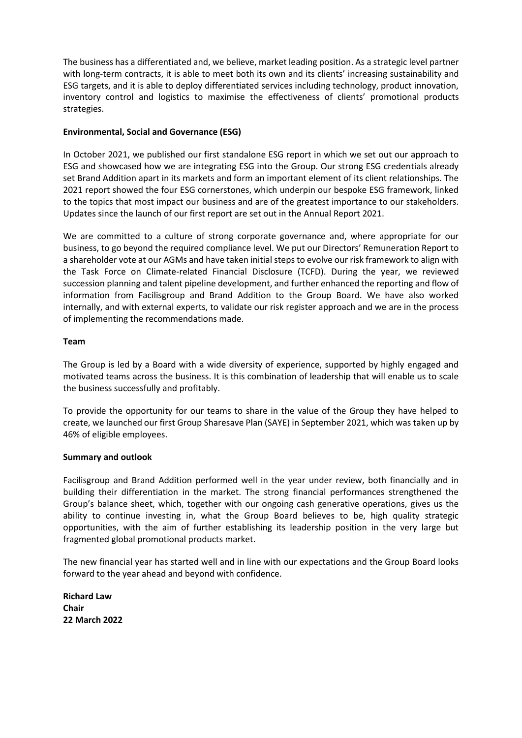The business has a differentiated and, we believe, market leading position. As a strategic level partner with long-term contracts, it is able to meet both its own and its clients' increasing sustainability and ESG targets, and it is able to deploy differentiated services including technology, product innovation, inventory control and logistics to maximise the effectiveness of clients' promotional products strategies.

#### **Environmental, Social and Governance (ESG)**

In October 2021, we published our first standalone ESG report in which we set out our approach to ESG and showcased how we are integrating ESG into the Group. Our strong ESG credentials already set Brand Addition apart in its markets and form an important element of its client relationships. The 2021 report showed the four ESG cornerstones, which underpin our bespoke ESG framework, linked to the topics that most impact our business and are of the greatest importance to our stakeholders. Updates since the launch of our first report are set out in the Annual Report 2021.

We are committed to a culture of strong corporate governance and, where appropriate for our business, to go beyond the required compliance level. We put our Directors' Remuneration Report to a shareholder vote at our AGMs and have taken initial steps to evolve our risk framework to align with the Task Force on Climate-related Financial Disclosure (TCFD). During the year, we reviewed succession planning and talent pipeline development, and further enhanced the reporting and flow of information from Facilisgroup and Brand Addition to the Group Board. We have also worked internally, and with external experts, to validate our risk register approach and we are in the process of implementing the recommendations made.

#### **Team**

The Group is led by a Board with a wide diversity of experience, supported by highly engaged and motivated teams across the business. It is this combination of leadership that will enable us to scale the business successfully and profitably.

To provide the opportunity for our teams to share in the value of the Group they have helped to create, we launched our first Group Sharesave Plan (SAYE) in September 2021, which was taken up by 46% of eligible employees.

#### **Summary and outlook**

Facilisgroup and Brand Addition performed well in the year under review, both financially and in building their differentiation in the market. The strong financial performances strengthened the Group's balance sheet, which, together with our ongoing cash generative operations, gives us the ability to continue investing in, what the Group Board believes to be, high quality strategic opportunities, with the aim of further establishing its leadership position in the very large but fragmented global promotional products market.

The new financial year has started well and in line with our expectations and the Group Board looks forward to the year ahead and beyond with confidence.

**Richard Law Chair 22 March 2022**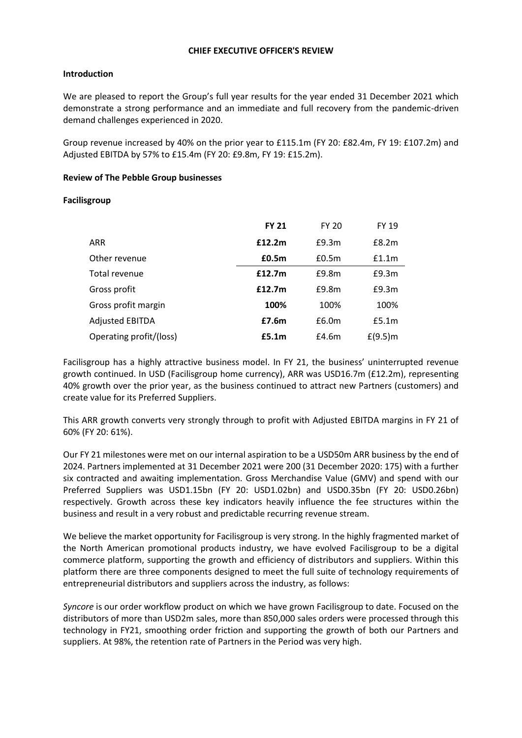#### **CHIEF EXECUTIVE OFFICER'S REVIEW**

#### **Introduction**

We are pleased to report the Group's full year results for the year ended 31 December 2021 which demonstrate a strong performance and an immediate and full recovery from the pandemic-driven demand challenges experienced in 2020.

Group revenue increased by 40% on the prior year to £115.1m (FY 20: £82.4m, FY 19: £107.2m) and Adjusted EBITDA by 57% to £15.4m (FY 20: £9.8m, FY 19: £15.2m).

#### **Review of The Pebble Group businesses**

#### **Facilisgroup**

|                         | <b>FY 21</b> | <b>FY 20</b> | <b>FY 19</b> |
|-------------------------|--------------|--------------|--------------|
| ARR                     | £12.2m       | E9.3m        | E8.2m        |
| Other revenue           | £0.5m        | £0.5m        | f1.1m        |
| Total revenue           | £12.7m       | E9.8m        | E9.3m        |
| Gross profit            | £12.7m       | E9.8m        | £9.3m        |
| Gross profit margin     | 100%         | 100%         | 100%         |
| <b>Adjusted EBITDA</b>  | £7.6m        | £6.0m        | £5.1m        |
| Operating profit/(loss) | £5.1m        | £4.6m        | $f(9.5)$ m   |

Facilisgroup has a highly attractive business model. In FY 21, the business' uninterrupted revenue growth continued. In USD (Facilisgroup home currency), ARR was USD16.7m (£12.2m), representing 40% growth over the prior year, as the business continued to attract new Partners (customers) and create value for its Preferred Suppliers.

This ARR growth converts very strongly through to profit with Adjusted EBITDA margins in FY 21 of 60% (FY 20: 61%).

Our FY 21 milestones were met on our internal aspiration to be a USD50m ARR business by the end of 2024. Partners implemented at 31 December 2021 were 200 (31 December 2020: 175) with a further six contracted and awaiting implementation. Gross Merchandise Value (GMV) and spend with our Preferred Suppliers was USD1.15bn (FY 20: USD1.02bn) and USD0.35bn (FY 20: USD0.26bn) respectively. Growth across these key indicators heavily influence the fee structures within the business and result in a very robust and predictable recurring revenue stream.

We believe the market opportunity for Facilisgroup is very strong. In the highly fragmented market of the North American promotional products industry, we have evolved Facilisgroup to be a digital commerce platform, supporting the growth and efficiency of distributors and suppliers. Within this platform there are three components designed to meet the full suite of technology requirements of entrepreneurial distributors and suppliers across the industry, as follows:

*Syncore* is our order workflow product on which we have grown Facilisgroup to date. Focused on the distributors of more than USD2m sales, more than 850,000 sales orders were processed through this technology in FY21, smoothing order friction and supporting the growth of both our Partners and suppliers. At 98%, the retention rate of Partners in the Period was very high.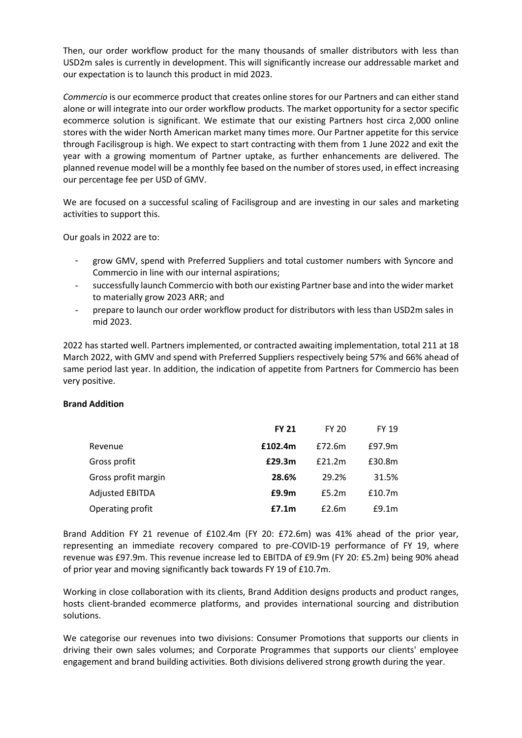Then, our order workflow product for the many thousands of smaller distributors with less than USD2m sales is currently in development. This will significantly increase our addressable market and our expectation is to launch this product in mid 2023.

*Commercio* is our ecommerce product that creates online stores for our Partners and can either stand alone or will integrate into our order workflow products. The market opportunity for a sector specific ecommerce solution is significant. We estimate that our existing Partners host circa 2,000 online stores with the wider North American market many times more. Our Partner appetite for this service through Facilisgroup is high. We expect to start contracting with them from 1 June 2022 and exit the year with a growing momentum of Partner uptake, as further enhancements are delivered. The planned revenue model will be a monthly fee based on the number of stores used, in effect increasing our percentage fee per USD of GMV.

We are focused on a successful scaling of Facilisgroup and are investing in our sales and marketing activities to support this.

Our goals in 2022 are to:

- grow GMV, spend with Preferred Suppliers and total customer numbers with Syncore and Commercio in line with our internal aspirations;
- successfully launch Commercio with both our existing Partner base and into the wider market to materially grow 2023 ARR; and
- prepare to launch our order workflow product for distributors with less than USD2m sales in mid 2023.

2022 has started well. Partners implemented, or contracted awaiting implementation, total 211 at 18 March 2022, with GMV and spend with Preferred Suppliers respectively being 57% and 66% ahead of same period last year. In addition, the indication of appetite from Partners for Commercio has been very positive.

#### **Brand Addition**

|                        | <b>FY 21</b> | <b>FY 20</b> | <b>FY 19</b>       |
|------------------------|--------------|--------------|--------------------|
| Revenue                | £102.4m      | £72.6m       | £97.9m             |
| Gross profit           | £29.3m       | £21.2m       | £30.8m             |
| Gross profit margin    | 28.6%        | 29.2%        | 31.5%              |
| <b>Adjusted EBITDA</b> | £9.9m        | £5.2m        | £10.7 <sub>m</sub> |
| Operating profit       | £7.1m        | E2.6m        | E9.1m              |

Brand Addition FY 21 revenue of £102.4m (FY 20: £72.6m) was 41% ahead of the prior year, representing an immediate recovery compared to pre-COVID-19 performance of FY 19, where revenue was £97.9m. This revenue increase led to EBITDA of £9.9m (FY 20: £5.2m) being 90% ahead of prior year and moving significantly back towards FY 19 of £10.7m.

Working in close collaboration with its clients, Brand Addition designs products and product ranges, hosts client-branded ecommerce platforms, and provides international sourcing and distribution solutions.

We categorise our revenues into two divisions: Consumer Promotions that supports our clients in driving their own sales volumes; and Corporate Programmes that supports our clients' employee engagement and brand building activities. Both divisions delivered strong growth during the year.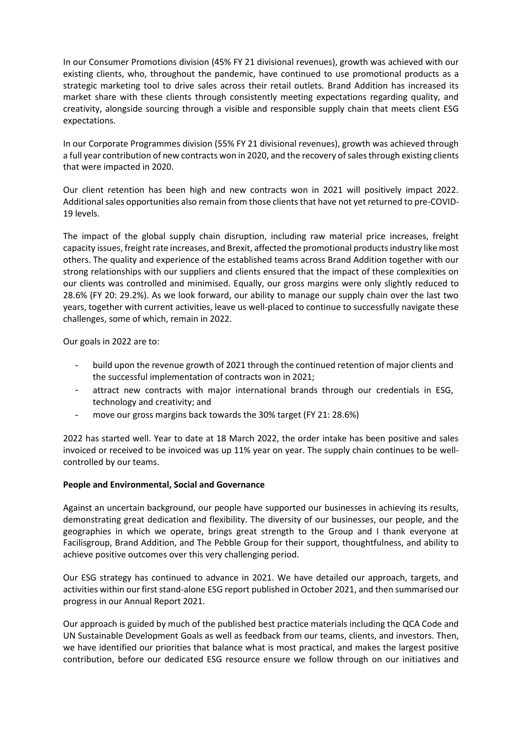In our Consumer Promotions division (45% FY 21 divisional revenues), growth was achieved with our existing clients, who, throughout the pandemic, have continued to use promotional products as a strategic marketing tool to drive sales across their retail outlets. Brand Addition has increased its market share with these clients through consistently meeting expectations regarding quality, and creativity, alongside sourcing through a visible and responsible supply chain that meets client ESG expectations.

In our Corporate Programmes division (55% FY 21 divisional revenues), growth was achieved through a full year contribution of new contracts won in 2020, and the recovery of sales through existing clients that were impacted in 2020.

Our client retention has been high and new contracts won in 2021 will positively impact 2022. Additional sales opportunities also remain from those clients that have not yet returned to pre-COVID-19 levels.

The impact of the global supply chain disruption, including raw material price increases, freight capacity issues, freight rate increases, and Brexit, affected the promotional products industry like most others. The quality and experience of the established teams across Brand Addition together with our strong relationships with our suppliers and clients ensured that the impact of these complexities on our clients was controlled and minimised. Equally, our gross margins were only slightly reduced to 28.6% (FY 20: 29.2%). As we look forward, our ability to manage our supply chain over the last two years, together with current activities, leave us well-placed to continue to successfully navigate these challenges, some of which, remain in 2022.

Our goals in 2022 are to:

- build upon the revenue growth of 2021 through the continued retention of major clients and the successful implementation of contracts won in 2021;
- attract new contracts with major international brands through our credentials in ESG, technology and creativity; and
- move our gross margins back towards the 30% target (FY 21: 28.6%)

2022 has started well. Year to date at 18 March 2022, the order intake has been positive and sales invoiced or received to be invoiced was up 11% year on year. The supply chain continues to be wellcontrolled by our teams.

#### **People and Environmental, Social and Governance**

Against an uncertain background, our people have supported our businesses in achieving its results, demonstrating great dedication and flexibility. The diversity of our businesses, our people, and the geographies in which we operate, brings great strength to the Group and I thank everyone at Facilisgroup, Brand Addition, and The Pebble Group for their support, thoughtfulness, and ability to achieve positive outcomes over this very challenging period.

Our ESG strategy has continued to advance in 2021. We have detailed our approach, targets, and activities within our first stand-alone ESG report published in October 2021, and then summarised our progress in our Annual Report 2021.

Our approach is guided by much of the published best practice materials including the QCA Code and UN Sustainable Development Goals as well as feedback from our teams, clients, and investors. Then, we have identified our priorities that balance what is most practical, and makes the largest positive contribution, before our dedicated ESG resource ensure we follow through on our initiatives and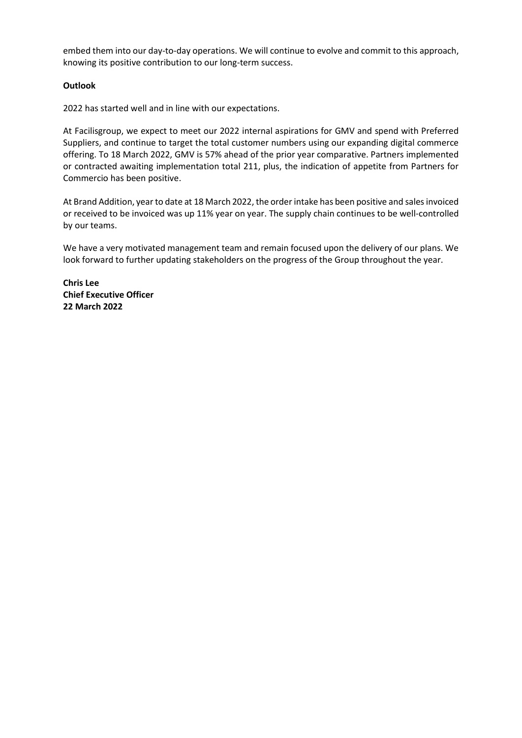embed them into our day-to-day operations. We will continue to evolve and commit to this approach, knowing its positive contribution to our long-term success.

#### **Outlook**

2022 has started well and in line with our expectations.

At Facilisgroup, we expect to meet our 2022 internal aspirations for GMV and spend with Preferred Suppliers, and continue to target the total customer numbers using our expanding digital commerce offering. To 18 March 2022, GMV is 57% ahead of the prior year comparative. Partners implemented or contracted awaiting implementation total 211, plus, the indication of appetite from Partners for Commercio has been positive.

At Brand Addition, year to date at 18 March 2022, the order intake has been positive and sales invoiced or received to be invoiced was up 11% year on year. The supply chain continues to be well-controlled by our teams.

We have a very motivated management team and remain focused upon the delivery of our plans. We look forward to further updating stakeholders on the progress of the Group throughout the year.

**Chris Lee Chief Executive Officer 22 March 2022**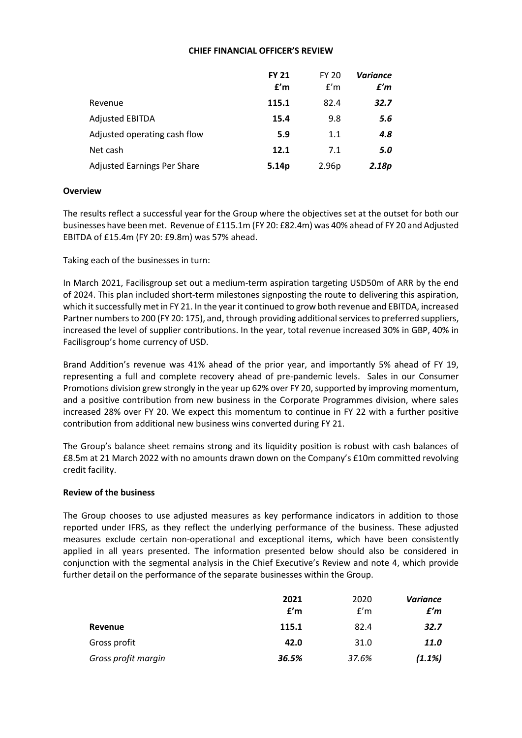#### **CHIEF FINANCIAL OFFICER'S REVIEW**

|                                    | <b>FY 21</b><br>f'm | <b>FY 20</b><br>f'm | <b>Variance</b><br>£'m |
|------------------------------------|---------------------|---------------------|------------------------|
| Revenue                            | 115.1               | 82.4                | 32.7                   |
| <b>Adjusted EBITDA</b>             | 15.4                | 9.8                 | 5.6                    |
| Adjusted operating cash flow       | 5.9                 | 1.1                 | 4.8                    |
| Net cash                           | 12.1                | 7.1                 | 5.0                    |
| <b>Adjusted Earnings Per Share</b> | 5.14p               | 2.96p               | 2.18p                  |

#### **Overview**

The results reflect a successful year for the Group where the objectives set at the outset for both our businesses have been met. Revenue of £115.1m (FY 20: £82.4m) was 40% ahead of FY 20 and Adjusted EBITDA of £15.4m (FY 20: £9.8m) was 57% ahead.

Taking each of the businesses in turn:

In March 2021, Facilisgroup set out a medium-term aspiration targeting USD50m of ARR by the end of 2024. This plan included short-term milestones signposting the route to delivering this aspiration, which it successfully met in FY 21. In the year it continued to grow both revenue and EBITDA, increased Partner numbers to 200 (FY 20: 175), and, through providing additional services to preferred suppliers, increased the level of supplier contributions. In the year, total revenue increased 30% in GBP, 40% in Facilisgroup's home currency of USD.

Brand Addition's revenue was 41% ahead of the prior year, and importantly 5% ahead of FY 19, representing a full and complete recovery ahead of pre-pandemic levels. Sales in our Consumer Promotions division grew strongly in the year up 62% over FY 20, supported by improving momentum, and a positive contribution from new business in the Corporate Programmes division, where sales increased 28% over FY 20. We expect this momentum to continue in FY 22 with a further positive contribution from additional new business wins converted during FY 21.

The Group's balance sheet remains strong and its liquidity position is robust with cash balances of £8.5m at 21 March 2022 with no amounts drawn down on the Company's £10m committed revolving credit facility.

#### **Review of the business**

The Group chooses to use adjusted measures as key performance indicators in addition to those reported under IFRS, as they reflect the underlying performance of the business. These adjusted measures exclude certain non-operational and exceptional items, which have been consistently applied in all years presented. The information presented below should also be considered in conjunction with the segmental analysis in the Chief Executive's Review and note 4, which provide further detail on the performance of the separate businesses within the Group.

|                     | 2021<br>f'm | 2020<br>f'm | <b>Variance</b><br>£'m |
|---------------------|-------------|-------------|------------------------|
| Revenue             | 115.1       | 82.4        | 32.7                   |
| Gross profit        | 42.0        | 31.0        | 11.0                   |
| Gross profit margin | 36.5%       | 37.6%       | (1.1%)                 |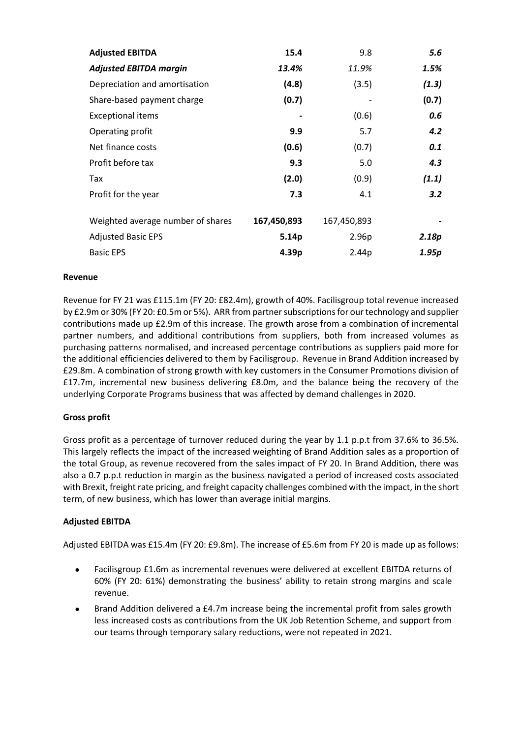| <b>Adjusted EBITDA</b>            | 15.4        | 9.8               | 5.6   |
|-----------------------------------|-------------|-------------------|-------|
| <b>Adjusted EBITDA margin</b>     | 13.4%       | 11.9%             | 1.5%  |
| Depreciation and amortisation     | (4.8)       | (3.5)             | (1.3) |
| Share-based payment charge        | (0.7)       |                   | (0.7) |
| <b>Exceptional items</b>          |             | (0.6)             | 0.6   |
| Operating profit                  | 9.9         | 5.7               | 4.2   |
| Net finance costs                 | (0.6)       | (0.7)             | 0.1   |
| Profit before tax                 | 9.3         | 5.0               | 4.3   |
| Tax                               | (2.0)       | (0.9)             | (1.1) |
| Profit for the year               | 7.3         | 4.1               | 3.2   |
| Weighted average number of shares | 167,450,893 | 167,450,893       |       |
| <b>Adjusted Basic EPS</b>         | 5.14p       | 2.96 <sub>p</sub> | 2.18p |
| <b>Basic EPS</b>                  | 4.39p       | 2.44p             | 1.95p |

#### **Revenue**

Revenue for FY 21 was £115.1m (FY 20: £82.4m), growth of 40%. Facilisgroup total revenue increased by £2.9m or 30% (FY 20: £0.5m or 5%). ARR from partner subscriptions for our technology and supplier contributions made up £2.9m of this increase. The growth arose from a combination of incremental partner numbers, and additional contributions from suppliers, both from increased volumes as purchasing patterns normalised, and increased percentage contributions as suppliers paid more for the additional efficiencies delivered to them by Facilisgroup. Revenue in Brand Addition increased by £29.8m. A combination of strong growth with key customers in the Consumer Promotions division of £17.7m, incremental new business delivering £8.0m, and the balance being the recovery of the underlying Corporate Programs business that was affected by demand challenges in 2020.

#### **Gross profit**

Gross profit as a percentage of turnover reduced during the year by 1.1 p.p.t from 37.6% to 36.5%. This largely reflects the impact of the increased weighting of Brand Addition sales as a proportion of the total Group, as revenue recovered from the sales impact of FY 20. In Brand Addition, there was also a 0.7 p.p.t reduction in margin as the business navigated a period of increased costs associated with Brexit, freight rate pricing, and freight capacity challenges combined with the impact, in the short term, of new business, which has lower than average initial margins.

#### **Adjusted EBITDA**

Adjusted EBITDA was £15.4m (FY 20: £9.8m). The increase of £5.6m from FY 20 is made up as follows:

- Facilisgroup £1.6m as incremental revenues were delivered at excellent EBITDA returns of 60% (FY 20: 61%) demonstrating the business' ability to retain strong margins and scale revenue.
- Brand Addition delivered a £4.7m increase being the incremental profit from sales growth less increased costs as contributions from the UK Job Retention Scheme, and support from our teams through temporary salary reductions, were not repeated in 2021.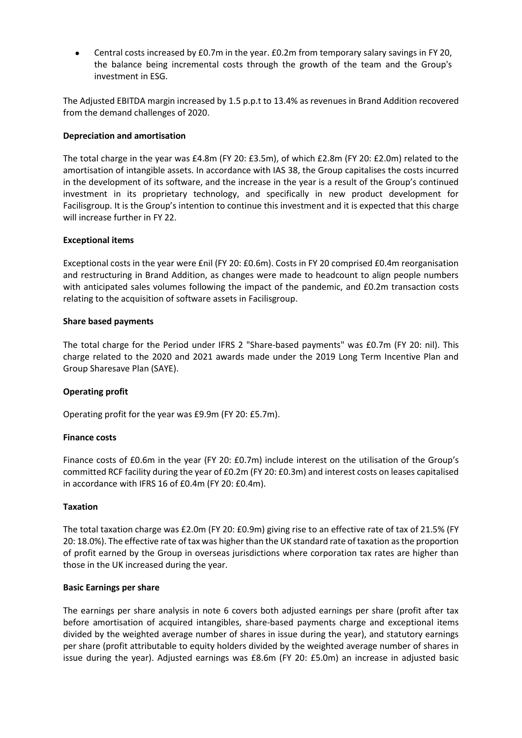• Central costs increased by £0.7m in the year. £0.2m from temporary salary savings in FY 20, the balance being incremental costs through the growth of the team and the Group's investment in ESG.

The Adjusted EBITDA margin increased by 1.5 p.p.t to 13.4% as revenues in Brand Addition recovered from the demand challenges of 2020.

#### **Depreciation and amortisation**

The total charge in the year was £4.8m (FY 20: £3.5m), of which £2.8m (FY 20: £2.0m) related to the amortisation of intangible assets. In accordance with IAS 38, the Group capitalises the costs incurred in the development of its software, and the increase in the year is a result of the Group's continued investment in its proprietary technology, and specifically in new product development for Facilisgroup. It is the Group's intention to continue this investment and it is expected that this charge will increase further in FY 22.

#### **Exceptional items**

Exceptional costs in the year were £nil (FY 20: £0.6m). Costs in FY 20 comprised £0.4m reorganisation and restructuring in Brand Addition, as changes were made to headcount to align people numbers with anticipated sales volumes following the impact of the pandemic, and £0.2m transaction costs relating to the acquisition of software assets in Facilisgroup.

#### **Share based payments**

The total charge for the Period under IFRS 2 "Share-based payments" was £0.7m (FY 20: nil). This charge related to the 2020 and 2021 awards made under the 2019 Long Term Incentive Plan and Group Sharesave Plan (SAYE).

#### **Operating profit**

Operating profit for the year was £9.9m (FY 20: £5.7m).

#### **Finance costs**

Finance costs of £0.6m in the year (FY 20: £0.7m) include interest on the utilisation of the Group's committed RCF facility during the year of £0.2m (FY 20: £0.3m) and interest costs on leases capitalised in accordance with IFRS 16 of £0.4m (FY 20: £0.4m).

#### **Taxation**

The total taxation charge was £2.0m (FY 20: £0.9m) giving rise to an effective rate of tax of 21.5% (FY 20: 18.0%). The effective rate of tax was higher than the UK standard rate of taxation as the proportion of profit earned by the Group in overseas jurisdictions where corporation tax rates are higher than those in the UK increased during the year.

#### **Basic Earnings per share**

The earnings per share analysis in note 6 covers both adjusted earnings per share (profit after tax before amortisation of acquired intangibles, share-based payments charge and exceptional items divided by the weighted average number of shares in issue during the year), and statutory earnings per share (profit attributable to equity holders divided by the weighted average number of shares in issue during the year). Adjusted earnings was £8.6m (FY 20: £5.0m) an increase in adjusted basic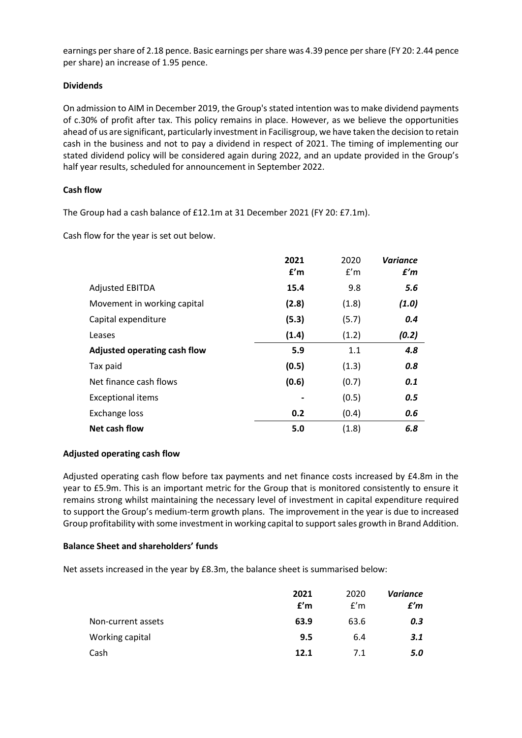earnings per share of 2.18 pence. Basic earnings per share was 4.39 pence per share (FY 20: 2.44 pence per share) an increase of 1.95 pence.

#### **Dividends**

On admission to AIM in December 2019, the Group's stated intention was to make dividend payments of c.30% of profit after tax. This policy remains in place. However, as we believe the opportunities ahead of us are significant, particularly investment in Facilisgroup, we have taken the decision to retain cash in the business and not to pay a dividend in respect of 2021. The timing of implementing our stated dividend policy will be considered again during 2022, and an update provided in the Group's half year results, scheduled for announcement in September 2022.

#### **Cash flow**

The Group had a cash balance of £12.1m at 31 December 2021 (FY 20: £7.1m).

Cash flow for the year is set out below.

|                              | 2021  | 2020  | <b>Variance</b> |
|------------------------------|-------|-------|-----------------|
|                              | £'m   | f'm   | f'm             |
| <b>Adjusted EBITDA</b>       | 15.4  | 9.8   | 5.6             |
| Movement in working capital  | (2.8) | (1.8) | (1.0)           |
| Capital expenditure          | (5.3) | (5.7) | 0.4             |
| Leases                       | (1.4) | (1.2) | (0.2)           |
| Adjusted operating cash flow | 5.9   | 1.1   | 4.8             |
| Tax paid                     | (0.5) | (1.3) | 0.8             |
| Net finance cash flows       | (0.6) | (0.7) | 0.1             |
| <b>Exceptional items</b>     |       | (0.5) | 0.5             |
| <b>Exchange loss</b>         | 0.2   | (0.4) | 0.6             |
| Net cash flow                | 5.0   | (1.8) | 6.8             |

#### **Adjusted operating cash flow**

Adjusted operating cash flow before tax payments and net finance costs increased by £4.8m in the year to £5.9m. This is an important metric for the Group that is monitored consistently to ensure it remains strong whilst maintaining the necessary level of investment in capital expenditure required to support the Group's medium-term growth plans. The improvement in the year is due to increased Group profitability with some investment in working capital to support sales growth in Brand Addition.

#### **Balance Sheet and shareholders' funds**

Net assets increased in the year by £8.3m, the balance sheet is summarised below:

|                    | 2021<br>f'm | 2020<br>f'm | Variance<br>f'm |
|--------------------|-------------|-------------|-----------------|
| Non-current assets | 63.9        | 63.6        | 0.3             |
| Working capital    | 9.5         | 6.4         | 3.1             |
| Cash               | 12.1        | 7.1         | 5.0             |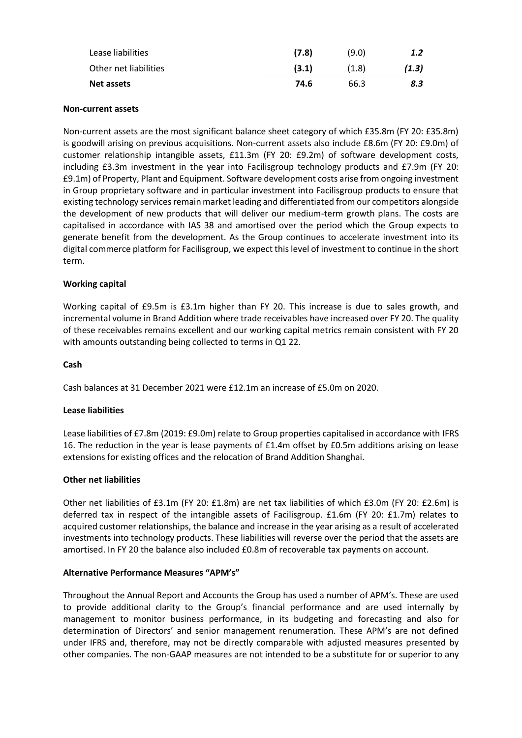| Lease liabilities     | (7.8) | (9.0) | 1.2   |
|-----------------------|-------|-------|-------|
| Other net liabilities | (3.1) | (1.8) | (1.3) |
| Net assets            | 74.6  | 66.3  | 8.3   |

#### **Non-current assets**

Non-current assets are the most significant balance sheet category of which £35.8m (FY 20: £35.8m) is goodwill arising on previous acquisitions. Non-current assets also include £8.6m (FY 20: £9.0m) of customer relationship intangible assets, £11.3m (FY 20: £9.2m) of software development costs, including £3.3m investment in the year into Facilisgroup technology products and £7.9m (FY 20: £9.1m) of Property, Plant and Equipment. Software development costs arise from ongoing investment in Group proprietary software and in particular investment into Facilisgroup products to ensure that existing technology services remain market leading and differentiated from our competitors alongside the development of new products that will deliver our medium-term growth plans. The costs are capitalised in accordance with IAS 38 and amortised over the period which the Group expects to generate benefit from the development. As the Group continues to accelerate investment into its digital commerce platform for Facilisgroup, we expect this level of investment to continue in the short term.

#### **Working capital**

Working capital of £9.5m is £3.1m higher than FY 20. This increase is due to sales growth, and incremental volume in Brand Addition where trade receivables have increased over FY 20. The quality of these receivables remains excellent and our working capital metrics remain consistent with FY 20 with amounts outstanding being collected to terms in Q1 22.

#### **Cash**

Cash balances at 31 December 2021 were £12.1m an increase of £5.0m on 2020.

#### **Lease liabilities**

Lease liabilities of £7.8m (2019: £9.0m) relate to Group properties capitalised in accordance with IFRS 16. The reduction in the year is lease payments of £1.4m offset by £0.5m additions arising on lease extensions for existing offices and the relocation of Brand Addition Shanghai.

#### **Other net liabilities**

Other net liabilities of £3.1m (FY 20: £1.8m) are net tax liabilities of which £3.0m (FY 20: £2.6m) is deferred tax in respect of the intangible assets of Facilisgroup. £1.6m (FY 20: £1.7m) relates to acquired customer relationships, the balance and increase in the year arising as a result of accelerated investments into technology products. These liabilities will reverse over the period that the assets are amortised. In FY 20 the balance also included £0.8m of recoverable tax payments on account.

#### **Alternative Performance Measures "APM's"**

Throughout the Annual Report and Accounts the Group has used a number of APM's. These are used to provide additional clarity to the Group's financial performance and are used internally by management to monitor business performance, in its budgeting and forecasting and also for determination of Directors' and senior management renumeration. These APM's are not defined under IFRS and, therefore, may not be directly comparable with adjusted measures presented by other companies. The non-GAAP measures are not intended to be a substitute for or superior to any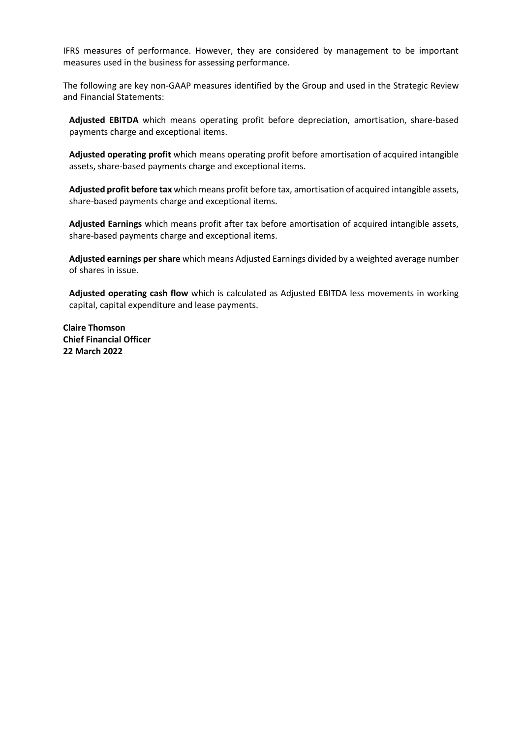IFRS measures of performance. However, they are considered by management to be important measures used in the business for assessing performance.

The following are key non-GAAP measures identified by the Group and used in the Strategic Review and Financial Statements:

**Adjusted EBITDA** which means operating profit before depreciation, amortisation, share-based payments charge and exceptional items.

**Adjusted operating profit** which means operating profit before amortisation of acquired intangible assets, share-based payments charge and exceptional items.

**Adjusted profit before tax** which means profit before tax, amortisation of acquired intangible assets, share-based payments charge and exceptional items.

**Adjusted Earnings** which means profit after tax before amortisation of acquired intangible assets, share-based payments charge and exceptional items.

**Adjusted earnings per share** which means Adjusted Earnings divided by a weighted average number of shares in issue.

**Adjusted operating cash flow** which is calculated as Adjusted EBITDA less movements in working capital, capital expenditure and lease payments.

**Claire Thomson Chief Financial Officer 22 March 2022**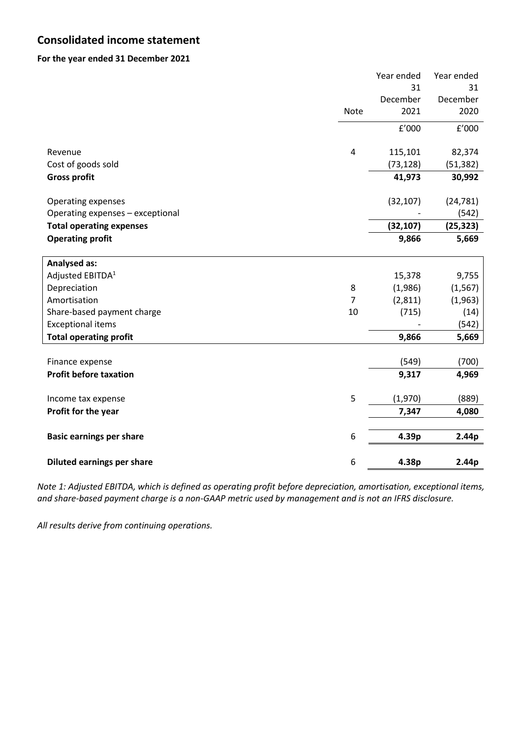## **Consolidated income statement**

#### **For the year ended 31 December 2021**

|                                   |                | Year ended | Year ended        |
|-----------------------------------|----------------|------------|-------------------|
|                                   |                | 31         | 31                |
|                                   |                | December   | December          |
|                                   | Note           | 2021       | 2020              |
|                                   |                | f'000      | $\texttt{f}'000$  |
| Revenue                           | $\overline{4}$ | 115,101    | 82,374            |
| Cost of goods sold                |                | (73, 128)  | (51, 382)         |
| <b>Gross profit</b>               |                | 41,973     | 30,992            |
| Operating expenses                |                | (32, 107)  | (24, 781)         |
| Operating expenses - exceptional  |                |            | (542)             |
| <b>Total operating expenses</b>   |                | (32, 107)  | (25, 323)         |
| <b>Operating profit</b>           |                | 9,866      | 5,669             |
|                                   |                |            |                   |
| <b>Analysed as:</b>               |                |            |                   |
| Adjusted EBITDA <sup>1</sup>      |                | 15,378     | 9,755             |
| Depreciation                      | 8              | (1,986)    | (1, 567)          |
| Amortisation                      | $\overline{7}$ | (2, 811)   | (1,963)           |
| Share-based payment charge        | 10             | (715)      | (14)              |
| <b>Exceptional items</b>          |                |            | (542)             |
| <b>Total operating profit</b>     |                | 9,866      | 5,669             |
|                                   |                |            |                   |
| Finance expense                   |                | (549)      | (700)             |
| <b>Profit before taxation</b>     |                | 9,317      | 4,969             |
| Income tax expense                | 5              | (1,970)    | (889)             |
| Profit for the year               |                | 7,347      | 4,080             |
|                                   |                |            |                   |
| <b>Basic earnings per share</b>   | 6              | 4.39p      | 2.44 <sub>p</sub> |
| <b>Diluted earnings per share</b> | 6              | 4.38p      | 2.44 <sub>p</sub> |
|                                   |                |            |                   |

*Note 1: Adjusted EBITDA, which is defined as operating profit before depreciation, amortisation, exceptional items, and share-based payment charge is a non-GAAP metric used by management and is not an IFRS disclosure.*

*All results derive from continuing operations.*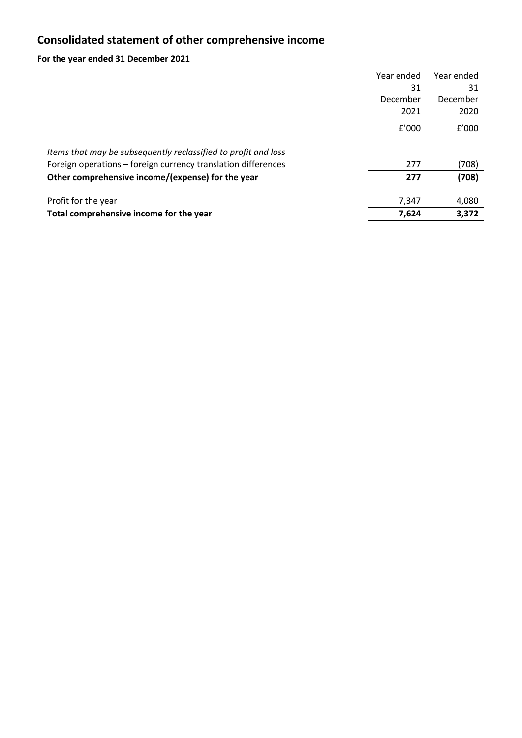## **Consolidated statement of other comprehensive income**

## **For the year ended 31 December 2021**

|                                                                | Year ended | Year ended |
|----------------------------------------------------------------|------------|------------|
|                                                                | 31         | 31         |
|                                                                | December   | December   |
|                                                                | 2021       | 2020       |
|                                                                | f'000      | f'000      |
| Items that may be subsequently reclassified to profit and loss |            |            |
| Foreign operations – foreign currency translation differences  | 277        | (708)      |
| Other comprehensive income/(expense) for the year              | 277        | (708)      |
| Profit for the year                                            | 7,347      | 4,080      |
| Total comprehensive income for the year                        | 7,624      | 3.372      |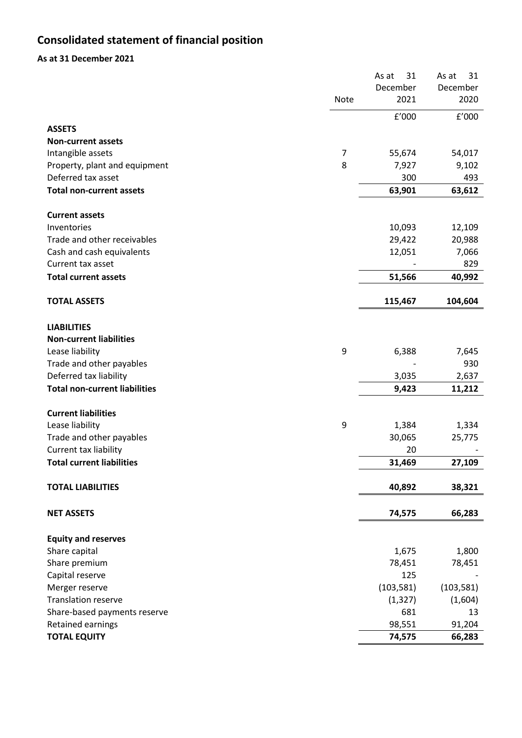## **Consolidated statement of financial position**

## **As at 31 December 2021**

|                                      |      | 31<br>As at | 31<br>As at |
|--------------------------------------|------|-------------|-------------|
|                                      |      | December    | December    |
|                                      | Note | 2021        | 2020        |
|                                      |      | f'000       | f'000       |
| <b>ASSETS</b>                        |      |             |             |
| <b>Non-current assets</b>            |      |             |             |
| Intangible assets                    | 7    | 55,674      | 54,017      |
| Property, plant and equipment        | 8    | 7,927       | 9,102       |
| Deferred tax asset                   |      | 300         | 493         |
| <b>Total non-current assets</b>      |      | 63,901      | 63,612      |
| <b>Current assets</b>                |      |             |             |
| Inventories                          |      | 10,093      | 12,109      |
| Trade and other receivables          |      | 29,422      | 20,988      |
| Cash and cash equivalents            |      | 12,051      | 7,066       |
| Current tax asset                    |      |             | 829         |
| <b>Total current assets</b>          |      | 51,566      | 40,992      |
| <b>TOTAL ASSETS</b>                  |      | 115,467     | 104,604     |
| <b>LIABILITIES</b>                   |      |             |             |
| <b>Non-current liabilities</b>       |      |             |             |
| Lease liability                      | 9    | 6,388       | 7,645       |
| Trade and other payables             |      |             | 930         |
| Deferred tax liability               |      | 3,035       | 2,637       |
| <b>Total non-current liabilities</b> |      | 9,423       | 11,212      |
|                                      |      |             |             |
| <b>Current liabilities</b>           |      |             |             |
| Lease liability                      | 9    | 1,384       | 1,334       |
| Trade and other payables             |      | 30,065      | 25,775      |
| Current tax liability                |      | 20          |             |
| <b>Total current liabilities</b>     |      | 31,469      | 27,109      |
| <b>TOTAL LIABILITIES</b>             |      | 40,892      | 38,321      |
| <b>NET ASSETS</b>                    |      | 74,575      | 66,283      |
| <b>Equity and reserves</b>           |      |             |             |
| Share capital                        |      | 1,675       | 1,800       |
| Share premium                        |      | 78,451      | 78,451      |
| Capital reserve                      |      | 125         |             |
| Merger reserve                       |      | (103, 581)  | (103, 581)  |
| <b>Translation reserve</b>           |      | (1, 327)    | (1,604)     |
| Share-based payments reserve         |      | 681         | 13          |
| Retained earnings                    |      | 98,551      | 91,204      |
| <b>TOTAL EQUITY</b>                  |      | 74,575      | 66,283      |
|                                      |      |             |             |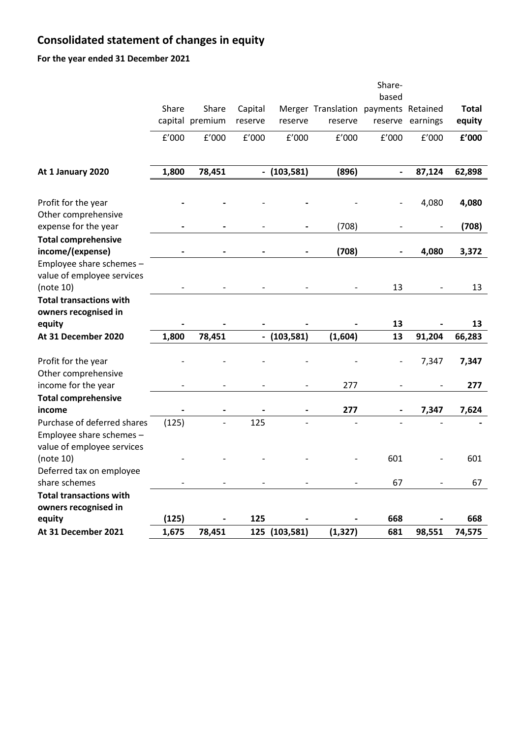## **Consolidated statement of changes in equity**

**For the year ended 31 December 2021**

| based<br>Share<br>Share<br>Merger Translation payments Retained<br>Capital<br>capital premium<br>reserve<br>reserve<br>earnings<br>reserve<br>reserve<br>f'000<br>f'000<br>f'000<br>f'000<br>f'000<br>f'000<br>f'000<br>1,800<br>78,451<br>$-$ (103,581)<br>(896)<br>87,124<br>At 1 January 2020<br>$\blacksquare$<br>4,080<br>Profit for the year<br>Other comprehensive<br>expense for the year<br>(708)<br><b>Total comprehensive</b><br>income/(expense)<br>(708)<br>4,080<br>Employee share schemes -<br>value of employee services<br>(note 10)<br>13<br><b>Total transactions with</b><br>owners recognised in<br>equity<br>13<br>1,800<br>(103, 581)<br>(1,604)<br>13<br>91,204<br>At 31 December 2020<br>78,451<br>$\overline{\phantom{a}}$<br>Profit for the year<br>7,347<br>$\overline{\phantom{a}}$<br>Other comprehensive<br>income for the year<br>277<br><b>Total comprehensive</b> | <b>Total</b><br>equity<br>£'000<br>62,898<br>4,080<br>(708)<br>3,372<br>13<br>13<br>66,283 |  |
|-----------------------------------------------------------------------------------------------------------------------------------------------------------------------------------------------------------------------------------------------------------------------------------------------------------------------------------------------------------------------------------------------------------------------------------------------------------------------------------------------------------------------------------------------------------------------------------------------------------------------------------------------------------------------------------------------------------------------------------------------------------------------------------------------------------------------------------------------------------------------------------------------------|--------------------------------------------------------------------------------------------|--|
|                                                                                                                                                                                                                                                                                                                                                                                                                                                                                                                                                                                                                                                                                                                                                                                                                                                                                                     |                                                                                            |  |
|                                                                                                                                                                                                                                                                                                                                                                                                                                                                                                                                                                                                                                                                                                                                                                                                                                                                                                     |                                                                                            |  |
|                                                                                                                                                                                                                                                                                                                                                                                                                                                                                                                                                                                                                                                                                                                                                                                                                                                                                                     |                                                                                            |  |
|                                                                                                                                                                                                                                                                                                                                                                                                                                                                                                                                                                                                                                                                                                                                                                                                                                                                                                     |                                                                                            |  |
|                                                                                                                                                                                                                                                                                                                                                                                                                                                                                                                                                                                                                                                                                                                                                                                                                                                                                                     |                                                                                            |  |
|                                                                                                                                                                                                                                                                                                                                                                                                                                                                                                                                                                                                                                                                                                                                                                                                                                                                                                     |                                                                                            |  |
|                                                                                                                                                                                                                                                                                                                                                                                                                                                                                                                                                                                                                                                                                                                                                                                                                                                                                                     |                                                                                            |  |
|                                                                                                                                                                                                                                                                                                                                                                                                                                                                                                                                                                                                                                                                                                                                                                                                                                                                                                     |                                                                                            |  |
|                                                                                                                                                                                                                                                                                                                                                                                                                                                                                                                                                                                                                                                                                                                                                                                                                                                                                                     |                                                                                            |  |
|                                                                                                                                                                                                                                                                                                                                                                                                                                                                                                                                                                                                                                                                                                                                                                                                                                                                                                     |                                                                                            |  |
|                                                                                                                                                                                                                                                                                                                                                                                                                                                                                                                                                                                                                                                                                                                                                                                                                                                                                                     |                                                                                            |  |
|                                                                                                                                                                                                                                                                                                                                                                                                                                                                                                                                                                                                                                                                                                                                                                                                                                                                                                     |                                                                                            |  |
|                                                                                                                                                                                                                                                                                                                                                                                                                                                                                                                                                                                                                                                                                                                                                                                                                                                                                                     |                                                                                            |  |
|                                                                                                                                                                                                                                                                                                                                                                                                                                                                                                                                                                                                                                                                                                                                                                                                                                                                                                     |                                                                                            |  |
|                                                                                                                                                                                                                                                                                                                                                                                                                                                                                                                                                                                                                                                                                                                                                                                                                                                                                                     |                                                                                            |  |
|                                                                                                                                                                                                                                                                                                                                                                                                                                                                                                                                                                                                                                                                                                                                                                                                                                                                                                     |                                                                                            |  |
|                                                                                                                                                                                                                                                                                                                                                                                                                                                                                                                                                                                                                                                                                                                                                                                                                                                                                                     |                                                                                            |  |
|                                                                                                                                                                                                                                                                                                                                                                                                                                                                                                                                                                                                                                                                                                                                                                                                                                                                                                     |                                                                                            |  |
|                                                                                                                                                                                                                                                                                                                                                                                                                                                                                                                                                                                                                                                                                                                                                                                                                                                                                                     |                                                                                            |  |
|                                                                                                                                                                                                                                                                                                                                                                                                                                                                                                                                                                                                                                                                                                                                                                                                                                                                                                     |                                                                                            |  |
|                                                                                                                                                                                                                                                                                                                                                                                                                                                                                                                                                                                                                                                                                                                                                                                                                                                                                                     | 7,347                                                                                      |  |
|                                                                                                                                                                                                                                                                                                                                                                                                                                                                                                                                                                                                                                                                                                                                                                                                                                                                                                     |                                                                                            |  |
|                                                                                                                                                                                                                                                                                                                                                                                                                                                                                                                                                                                                                                                                                                                                                                                                                                                                                                     | 277                                                                                        |  |
|                                                                                                                                                                                                                                                                                                                                                                                                                                                                                                                                                                                                                                                                                                                                                                                                                                                                                                     |                                                                                            |  |
| 277<br>income<br>7,347                                                                                                                                                                                                                                                                                                                                                                                                                                                                                                                                                                                                                                                                                                                                                                                                                                                                              | 7,624                                                                                      |  |
| (125)<br>125<br>Purchase of deferred shares                                                                                                                                                                                                                                                                                                                                                                                                                                                                                                                                                                                                                                                                                                                                                                                                                                                         |                                                                                            |  |
| Employee share schemes -                                                                                                                                                                                                                                                                                                                                                                                                                                                                                                                                                                                                                                                                                                                                                                                                                                                                            |                                                                                            |  |
| value of employee services                                                                                                                                                                                                                                                                                                                                                                                                                                                                                                                                                                                                                                                                                                                                                                                                                                                                          |                                                                                            |  |
| 601<br>(note 10)                                                                                                                                                                                                                                                                                                                                                                                                                                                                                                                                                                                                                                                                                                                                                                                                                                                                                    | 601                                                                                        |  |
| Deferred tax on employee                                                                                                                                                                                                                                                                                                                                                                                                                                                                                                                                                                                                                                                                                                                                                                                                                                                                            |                                                                                            |  |
| share schemes<br>67                                                                                                                                                                                                                                                                                                                                                                                                                                                                                                                                                                                                                                                                                                                                                                                                                                                                                 | 67                                                                                         |  |
| <b>Total transactions with</b>                                                                                                                                                                                                                                                                                                                                                                                                                                                                                                                                                                                                                                                                                                                                                                                                                                                                      |                                                                                            |  |
| owners recognised in                                                                                                                                                                                                                                                                                                                                                                                                                                                                                                                                                                                                                                                                                                                                                                                                                                                                                |                                                                                            |  |
| (125)<br>668<br>equity<br>125                                                                                                                                                                                                                                                                                                                                                                                                                                                                                                                                                                                                                                                                                                                                                                                                                                                                       |                                                                                            |  |
| 1,675<br>681<br>At 31 December 2021<br>78,451<br>125<br>(103, 581)<br>(1, 327)<br>98,551                                                                                                                                                                                                                                                                                                                                                                                                                                                                                                                                                                                                                                                                                                                                                                                                            | 668                                                                                        |  |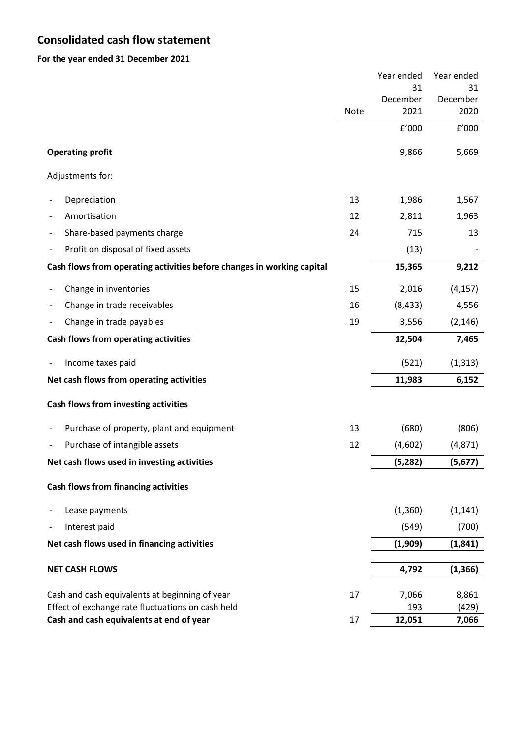## **Consolidated cash flow statement**

**For the year ended 31 December 2021**

|                                                                        |             | Year ended | Year ended |
|------------------------------------------------------------------------|-------------|------------|------------|
|                                                                        |             | 31         | 31         |
|                                                                        |             | December   | December   |
|                                                                        | <b>Note</b> | 2021       | 2020       |
|                                                                        |             | f'000      | f'000      |
| <b>Operating profit</b>                                                |             | 9,866      | 5,669      |
| Adjustments for:                                                       |             |            |            |
| Depreciation                                                           | 13          | 1,986      | 1,567      |
| Amortisation                                                           | 12          | 2,811      | 1,963      |
| Share-based payments charge                                            | 24          | 715        | 13         |
| Profit on disposal of fixed assets                                     |             | (13)       |            |
| Cash flows from operating activities before changes in working capital |             | 15,365     | 9,212      |
| Change in inventories                                                  | 15          | 2,016      | (4, 157)   |
| Change in trade receivables                                            | 16          | (8, 433)   | 4,556      |
| Change in trade payables                                               | 19          | 3,556      | (2, 146)   |
| Cash flows from operating activities                                   |             | 12,504     | 7,465      |
| Income taxes paid                                                      |             | (521)      | (1, 313)   |
| Net cash flows from operating activities                               |             | 11,983     | 6,152      |
| Cash flows from investing activities                                   |             |            |            |
| Purchase of property, plant and equipment                              | 13          | (680)      | (806)      |
| Purchase of intangible assets                                          | 12          | (4,602)    | (4, 871)   |
| Net cash flows used in investing activities                            |             | (5, 282)   | (5, 677)   |
| <b>Cash flows from financing activities</b>                            |             |            |            |
| Lease payments                                                         |             | (1,360)    | (1, 141)   |
| Interest paid                                                          |             | (549)      | (700)      |
| Net cash flows used in financing activities                            |             | (1,909)    | (1, 841)   |
|                                                                        |             |            |            |
| <b>NET CASH FLOWS</b>                                                  |             | 4,792      | (1, 366)   |
| Cash and cash equivalents at beginning of year                         | 17          | 7,066      | 8,861      |
| Effect of exchange rate fluctuations on cash held                      |             | 193        | (429)      |
| Cash and cash equivalents at end of year                               | 17          | 12,051     | 7,066      |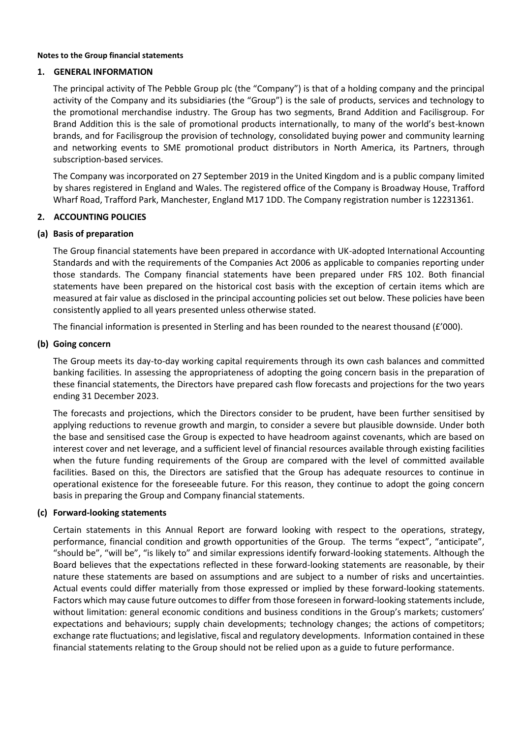#### **Notes to the Group financial statements**

#### **1. GENERAL INFORMATION**

The principal activity of The Pebble Group plc (the "Company") is that of a holding company and the principal activity of the Company and its subsidiaries (the "Group") is the sale of products, services and technology to the promotional merchandise industry. The Group has two segments, Brand Addition and Facilisgroup. For Brand Addition this is the sale of promotional products internationally, to many of the world's best-known brands, and for Facilisgroup the provision of technology, consolidated buying power and community learning and networking events to SME promotional product distributors in North America, its Partners, through subscription-based services.

The Company was incorporated on 27 September 2019 in the United Kingdom and is a public company limited by shares registered in England and Wales. The registered office of the Company is Broadway House, Trafford Wharf Road, Trafford Park, Manchester, England M17 1DD. The Company registration number is 12231361.

#### **2. ACCOUNTING POLICIES**

#### **(a) Basis of preparation**

The Group financial statements have been prepared in accordance with UK-adopted International Accounting Standards and with the requirements of the Companies Act 2006 as applicable to companies reporting under those standards. The Company financial statements have been prepared under FRS 102. Both financial statements have been prepared on the historical cost basis with the exception of certain items which are measured at fair value as disclosed in the principal accounting policies set out below. These policies have been consistently applied to all years presented unless otherwise stated.

The financial information is presented in Sterling and has been rounded to the nearest thousand (£'000).

#### **(b) Going concern**

The Group meets its day-to-day working capital requirements through its own cash balances and committed banking facilities. In assessing the appropriateness of adopting the going concern basis in the preparation of these financial statements, the Directors have prepared cash flow forecasts and projections for the two years ending 31 December 2023.

The forecasts and projections, which the Directors consider to be prudent, have been further sensitised by applying reductions to revenue growth and margin, to consider a severe but plausible downside. Under both the base and sensitised case the Group is expected to have headroom against covenants, which are based on interest cover and net leverage, and a sufficient level of financial resources available through existing facilities when the future funding requirements of the Group are compared with the level of committed available facilities. Based on this, the Directors are satisfied that the Group has adequate resources to continue in operational existence for the foreseeable future. For this reason, they continue to adopt the going concern basis in preparing the Group and Company financial statements.

#### **(c) Forward-looking statements**

Certain statements in this Annual Report are forward looking with respect to the operations, strategy, performance, financial condition and growth opportunities of the Group. The terms "expect", "anticipate", "should be", "will be", "is likely to" and similar expressions identify forward-looking statements. Although the Board believes that the expectations reflected in these forward-looking statements are reasonable, by their nature these statements are based on assumptions and are subject to a number of risks and uncertainties. Actual events could differ materially from those expressed or implied by these forward-looking statements. Factors which may cause future outcomes to differ from those foreseen in forward-looking statements include, without limitation: general economic conditions and business conditions in the Group's markets; customers' expectations and behaviours; supply chain developments; technology changes; the actions of competitors; exchange rate fluctuations; and legislative, fiscal and regulatory developments. Information contained in these financial statements relating to the Group should not be relied upon as a guide to future performance.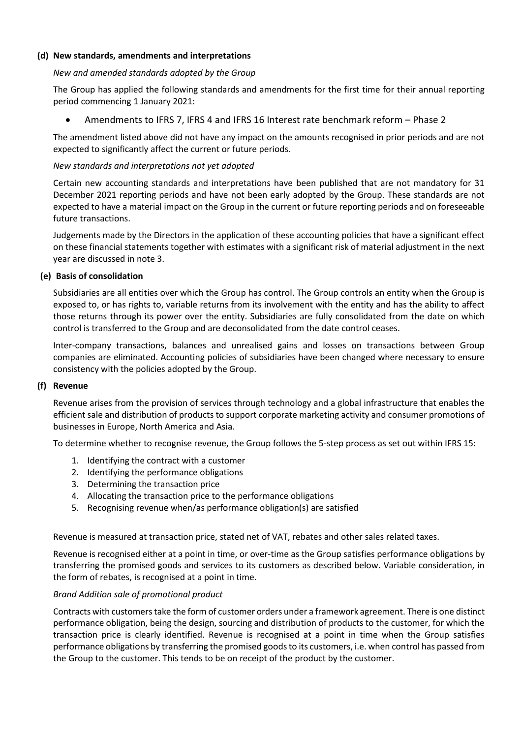#### **(d) New standards, amendments and interpretations**

#### *New and amended standards adopted by the Group*

The Group has applied the following standards and amendments for the first time for their annual reporting period commencing 1 January 2021:

• Amendments to IFRS 7, IFRS 4 and IFRS 16 Interest rate benchmark reform – Phase 2

The amendment listed above did not have any impact on the amounts recognised in prior periods and are not expected to significantly affect the current or future periods.

#### *New standards and interpretations not yet adopted*

Certain new accounting standards and interpretations have been published that are not mandatory for 31 December 2021 reporting periods and have not been early adopted by the Group. These standards are not expected to have a material impact on the Group in the current or future reporting periods and on foreseeable future transactions.

Judgements made by the Directors in the application of these accounting policies that have a significant effect on these financial statements together with estimates with a significant risk of material adjustment in the next year are discussed in note 3.

#### **(e) Basis of consolidation**

Subsidiaries are all entities over which the Group has control. The Group controls an entity when the Group is exposed to, or has rights to, variable returns from its involvement with the entity and has the ability to affect those returns through its power over the entity. Subsidiaries are fully consolidated from the date on which control is transferred to the Group and are deconsolidated from the date control ceases.

Inter-company transactions, balances and unrealised gains and losses on transactions between Group companies are eliminated. Accounting policies of subsidiaries have been changed where necessary to ensure consistency with the policies adopted by the Group.

#### **(f) Revenue**

Revenue arises from the provision of services through technology and a global infrastructure that enables the efficient sale and distribution of products to support corporate marketing activity and consumer promotions of businesses in Europe, North America and Asia.

To determine whether to recognise revenue, the Group follows the 5-step process as set out within IFRS 15:

- 1. Identifying the contract with a customer
- 2. Identifying the performance obligations
- 3. Determining the transaction price
- 4. Allocating the transaction price to the performance obligations
- 5. Recognising revenue when/as performance obligation(s) are satisfied

Revenue is measured at transaction price, stated net of VAT, rebates and other sales related taxes.

Revenue is recognised either at a point in time, or over-time as the Group satisfies performance obligations by transferring the promised goods and services to its customers as described below. Variable consideration, in the form of rebates, is recognised at a point in time.

#### *Brand Addition sale of promotional product*

Contracts with customers take the form of customer orders under a framework agreement. There is one distinct performance obligation, being the design, sourcing and distribution of products to the customer, for which the transaction price is clearly identified. Revenue is recognised at a point in time when the Group satisfies performance obligations by transferring the promised goods to its customers, i.e. when control has passed from the Group to the customer. This tends to be on receipt of the product by the customer.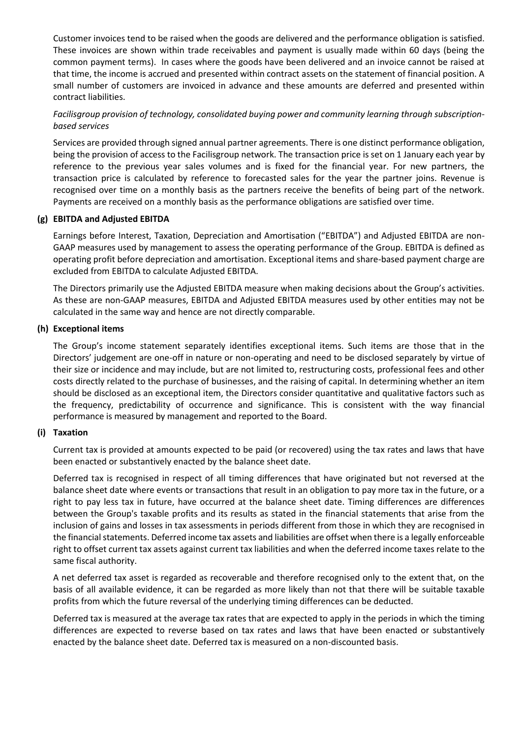Customer invoices tend to be raised when the goods are delivered and the performance obligation is satisfied. These invoices are shown within trade receivables and payment is usually made within 60 days (being the common payment terms). In cases where the goods have been delivered and an invoice cannot be raised at that time, the income is accrued and presented within contract assets on the statement of financial position. A small number of customers are invoiced in advance and these amounts are deferred and presented within contract liabilities.

*Facilisgroup provision of technology, consolidated buying power and community learning through subscriptionbased services*

Services are provided through signed annual partner agreements. There is one distinct performance obligation, being the provision of access to the Facilisgroup network. The transaction price is set on 1 January each year by reference to the previous year sales volumes and is fixed for the financial year. For new partners, the transaction price is calculated by reference to forecasted sales for the year the partner joins. Revenue is recognised over time on a monthly basis as the partners receive the benefits of being part of the network. Payments are received on a monthly basis as the performance obligations are satisfied over time.

#### **(g) EBITDA and Adjusted EBITDA**

Earnings before Interest, Taxation, Depreciation and Amortisation ("EBITDA") and Adjusted EBITDA are non-GAAP measures used by management to assess the operating performance of the Group. EBITDA is defined as operating profit before depreciation and amortisation. Exceptional items and share-based payment charge are excluded from EBITDA to calculate Adjusted EBITDA.

The Directors primarily use the Adjusted EBITDA measure when making decisions about the Group's activities. As these are non-GAAP measures, EBITDA and Adjusted EBITDA measures used by other entities may not be calculated in the same way and hence are not directly comparable.

#### **(h) Exceptional items**

The Group's income statement separately identifies exceptional items. Such items are those that in the Directors' judgement are one-off in nature or non-operating and need to be disclosed separately by virtue of their size or incidence and may include, but are not limited to, restructuring costs, professional fees and other costs directly related to the purchase of businesses, and the raising of capital. In determining whether an item should be disclosed as an exceptional item, the Directors consider quantitative and qualitative factors such as the frequency, predictability of occurrence and significance. This is consistent with the way financial performance is measured by management and reported to the Board.

#### **(i) Taxation**

Current tax is provided at amounts expected to be paid (or recovered) using the tax rates and laws that have been enacted or substantively enacted by the balance sheet date.

Deferred tax is recognised in respect of all timing differences that have originated but not reversed at the balance sheet date where events or transactions that result in an obligation to pay more tax in the future, or a right to pay less tax in future, have occurred at the balance sheet date. Timing differences are differences between the Group's taxable profits and its results as stated in the financial statements that arise from the inclusion of gains and losses in tax assessments in periods different from those in which they are recognised in the financial statements. Deferred income tax assets and liabilities are offset when there is a legally enforceable right to offset current tax assets against current tax liabilities and when the deferred income taxes relate to the same fiscal authority.

A net deferred tax asset is regarded as recoverable and therefore recognised only to the extent that, on the basis of all available evidence, it can be regarded as more likely than not that there will be suitable taxable profits from which the future reversal of the underlying timing differences can be deducted.

Deferred tax is measured at the average tax rates that are expected to apply in the periods in which the timing differences are expected to reverse based on tax rates and laws that have been enacted or substantively enacted by the balance sheet date. Deferred tax is measured on a non-discounted basis.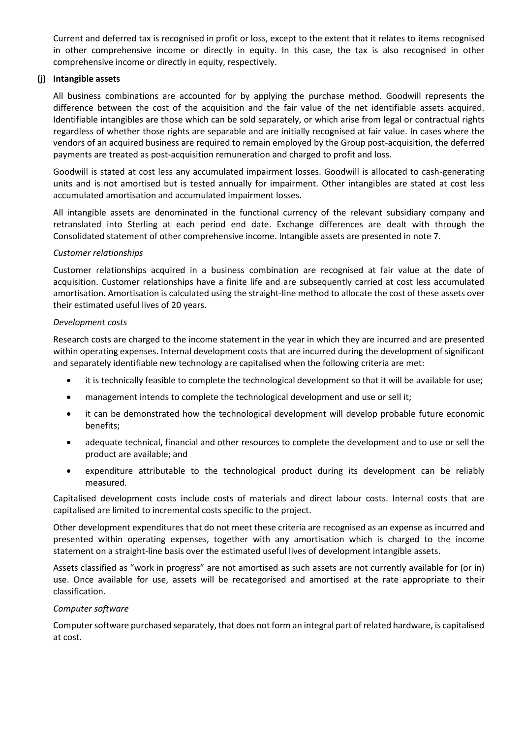Current and deferred tax is recognised in profit or loss, except to the extent that it relates to items recognised in other comprehensive income or directly in equity. In this case, the tax is also recognised in other comprehensive income or directly in equity, respectively.

#### **(j) Intangible assets**

All business combinations are accounted for by applying the purchase method. Goodwill represents the difference between the cost of the acquisition and the fair value of the net identifiable assets acquired. Identifiable intangibles are those which can be sold separately, or which arise from legal or contractual rights regardless of whether those rights are separable and are initially recognised at fair value. In cases where the vendors of an acquired business are required to remain employed by the Group post-acquisition, the deferred payments are treated as post-acquisition remuneration and charged to profit and loss.

Goodwill is stated at cost less any accumulated impairment losses. Goodwill is allocated to cash-generating units and is not amortised but is tested annually for impairment. Other intangibles are stated at cost less accumulated amortisation and accumulated impairment losses.

All intangible assets are denominated in the functional currency of the relevant subsidiary company and retranslated into Sterling at each period end date. Exchange differences are dealt with through the Consolidated statement of other comprehensive income. Intangible assets are presented in note 7.

#### *Customer relationships*

Customer relationships acquired in a business combination are recognised at fair value at the date of acquisition. Customer relationships have a finite life and are subsequently carried at cost less accumulated amortisation. Amortisation is calculated using the straight-line method to allocate the cost of these assets over their estimated useful lives of 20 years.

#### *Development costs*

Research costs are charged to the income statement in the year in which they are incurred and are presented within operating expenses. Internal development costs that are incurred during the development of significant and separately identifiable new technology are capitalised when the following criteria are met:

- it is technically feasible to complete the technological development so that it will be available for use;
- management intends to complete the technological development and use or sell it;
- it can be demonstrated how the technological development will develop probable future economic benefits;
- adequate technical, financial and other resources to complete the development and to use or sell the product are available; and
- expenditure attributable to the technological product during its development can be reliably measured.

Capitalised development costs include costs of materials and direct labour costs. Internal costs that are capitalised are limited to incremental costs specific to the project.

Other development expenditures that do not meet these criteria are recognised as an expense as incurred and presented within operating expenses, together with any amortisation which is charged to the income statement on a straight-line basis over the estimated useful lives of development intangible assets.

Assets classified as "work in progress" are not amortised as such assets are not currently available for (or in) use. Once available for use, assets will be recategorised and amortised at the rate appropriate to their classification.

#### *Computer software*

Computer software purchased separately, that does not form an integral part of related hardware, is capitalised at cost.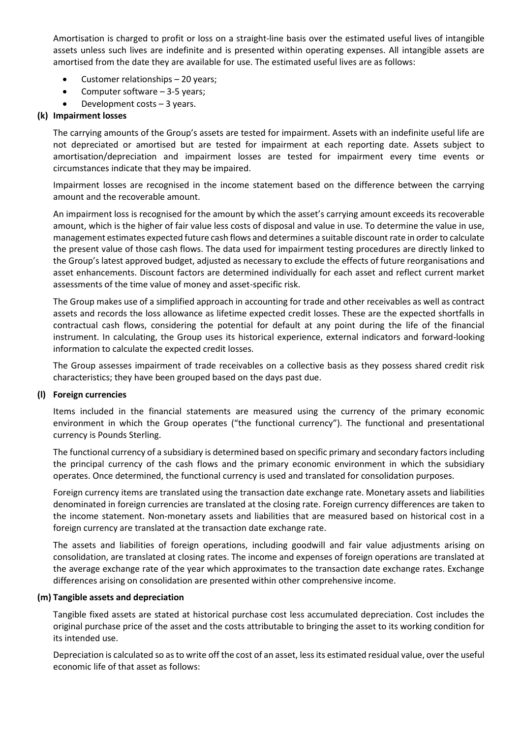Amortisation is charged to profit or loss on a straight-line basis over the estimated useful lives of intangible assets unless such lives are indefinite and is presented within operating expenses. All intangible assets are amortised from the date they are available for use. The estimated useful lives are as follows:

- Customer relationships 20 years;
- Computer software 3-5 years;
- Development costs  $-3$  years.

#### **(k) Impairment losses**

The carrying amounts of the Group's assets are tested for impairment. Assets with an indefinite useful life are not depreciated or amortised but are tested for impairment at each reporting date. Assets subject to amortisation/depreciation and impairment losses are tested for impairment every time events or circumstances indicate that they may be impaired.

Impairment losses are recognised in the income statement based on the difference between the carrying amount and the recoverable amount.

An impairment loss is recognised for the amount by which the asset's carrying amount exceeds its recoverable amount, which is the higher of fair value less costs of disposal and value in use. To determine the value in use, management estimates expected future cash flows and determines a suitable discount rate in order to calculate the present value of those cash flows. The data used for impairment testing procedures are directly linked to the Group's latest approved budget, adjusted as necessary to exclude the effects of future reorganisations and asset enhancements. Discount factors are determined individually for each asset and reflect current market assessments of the time value of money and asset-specific risk.

The Group makes use of a simplified approach in accounting for trade and other receivables as well as contract assets and records the loss allowance as lifetime expected credit losses. These are the expected shortfalls in contractual cash flows, considering the potential for default at any point during the life of the financial instrument. In calculating, the Group uses its historical experience, external indicators and forward-looking information to calculate the expected credit losses.

The Group assesses impairment of trade receivables on a collective basis as they possess shared credit risk characteristics; they have been grouped based on the days past due.

#### **(l) Foreign currencies**

Items included in the financial statements are measured using the currency of the primary economic environment in which the Group operates ("the functional currency"). The functional and presentational currency is Pounds Sterling.

The functional currency of a subsidiary is determined based on specific primary and secondary factors including the principal currency of the cash flows and the primary economic environment in which the subsidiary operates. Once determined, the functional currency is used and translated for consolidation purposes.

Foreign currency items are translated using the transaction date exchange rate. Monetary assets and liabilities denominated in foreign currencies are translated at the closing rate. Foreign currency differences are taken to the income statement. Non-monetary assets and liabilities that are measured based on historical cost in a foreign currency are translated at the transaction date exchange rate.

The assets and liabilities of foreign operations, including goodwill and fair value adjustments arising on consolidation, are translated at closing rates. The income and expenses of foreign operations are translated at the average exchange rate of the year which approximates to the transaction date exchange rates. Exchange differences arising on consolidation are presented within other comprehensive income.

#### **(m) Tangible assets and depreciation**

Tangible fixed assets are stated at historical purchase cost less accumulated depreciation. Cost includes the original purchase price of the asset and the costs attributable to bringing the asset to its working condition for its intended use.

Depreciation is calculated so as to write off the cost of an asset, less its estimated residual value, over the useful economic life of that asset as follows: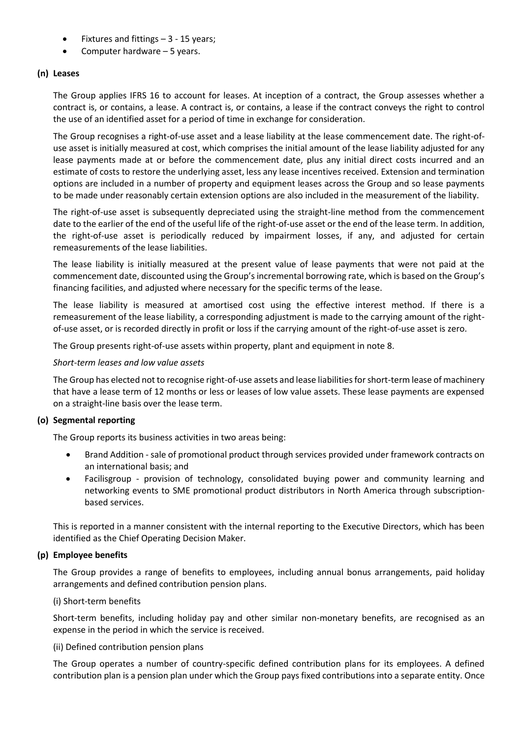- Fixtures and fittings  $-3 15$  years;
- Computer hardware 5 years.

#### **(n) Leases**

The Group applies IFRS 16 to account for leases. At inception of a contract, the Group assesses whether a contract is, or contains, a lease. A contract is, or contains, a lease if the contract conveys the right to control the use of an identified asset for a period of time in exchange for consideration.

The Group recognises a right-of-use asset and a lease liability at the lease commencement date. The right-ofuse asset is initially measured at cost, which comprises the initial amount of the lease liability adjusted for any lease payments made at or before the commencement date, plus any initial direct costs incurred and an estimate of costs to restore the underlying asset, less any lease incentives received. Extension and termination options are included in a number of property and equipment leases across the Group and so lease payments to be made under reasonably certain extension options are also included in the measurement of the liability.

The right-of-use asset is subsequently depreciated using the straight-line method from the commencement date to the earlier of the end of the useful life of the right-of-use asset or the end of the lease term. In addition, the right-of-use asset is periodically reduced by impairment losses, if any, and adjusted for certain remeasurements of the lease liabilities.

The lease liability is initially measured at the present value of lease payments that were not paid at the commencement date, discounted using the Group's incremental borrowing rate, which is based on the Group's financing facilities, and adjusted where necessary for the specific terms of the lease.

The lease liability is measured at amortised cost using the effective interest method. If there is a remeasurement of the lease liability, a corresponding adjustment is made to the carrying amount of the rightof-use asset, or is recorded directly in profit or loss if the carrying amount of the right-of-use asset is zero.

The Group presents right-of-use assets within property, plant and equipment in note 8.

#### *Short-term leases and low value assets*

The Group has elected not to recognise right-of-use assets and lease liabilities for short-term lease of machinery that have a lease term of 12 months or less or leases of low value assets. These lease payments are expensed on a straight-line basis over the lease term.

#### **(o) Segmental reporting**

The Group reports its business activities in two areas being:

- Brand Addition sale of promotional product through services provided under framework contracts on an international basis; and
- Facilisgroup provision of technology, consolidated buying power and community learning and networking events to SME promotional product distributors in North America through subscriptionbased services.

This is reported in a manner consistent with the internal reporting to the Executive Directors, which has been identified as the Chief Operating Decision Maker.

#### **(p) Employee benefits**

The Group provides a range of benefits to employees, including annual bonus arrangements, paid holiday arrangements and defined contribution pension plans.

#### (i) Short-term benefits

Short-term benefits, including holiday pay and other similar non-monetary benefits, are recognised as an expense in the period in which the service is received.

#### (ii) Defined contribution pension plans

The Group operates a number of country-specific defined contribution plans for its employees. A defined contribution plan is a pension plan under which the Group pays fixed contributions into a separate entity. Once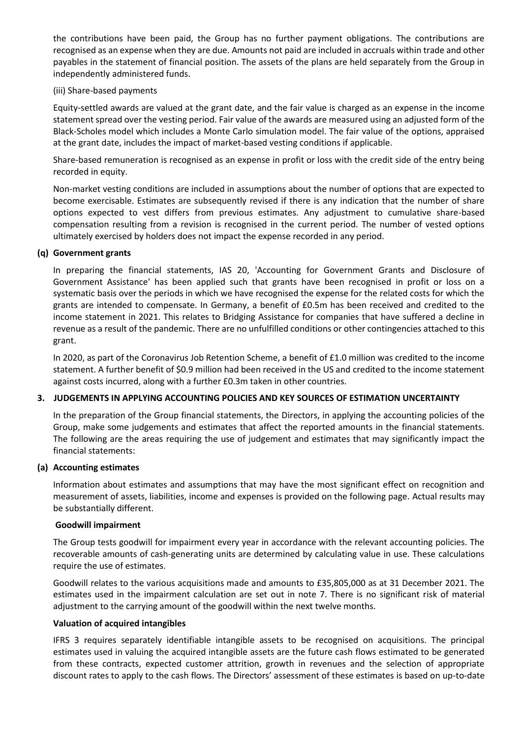the contributions have been paid, the Group has no further payment obligations. The contributions are recognised as an expense when they are due. Amounts not paid are included in accruals within trade and other payables in the statement of financial position. The assets of the plans are held separately from the Group in independently administered funds.

#### (iii) Share-based payments

Equity-settled awards are valued at the grant date, and the fair value is charged as an expense in the income statement spread over the vesting period. Fair value of the awards are measured using an adjusted form of the Black-Scholes model which includes a Monte Carlo simulation model. The fair value of the options, appraised at the grant date, includes the impact of market-based vesting conditions if applicable.

Share-based remuneration is recognised as an expense in profit or loss with the credit side of the entry being recorded in equity.

Non-market vesting conditions are included in assumptions about the number of options that are expected to become exercisable. Estimates are subsequently revised if there is any indication that the number of share options expected to vest differs from previous estimates. Any adjustment to cumulative share-based compensation resulting from a revision is recognised in the current period. The number of vested options ultimately exercised by holders does not impact the expense recorded in any period.

#### **(q) Government grants**

In preparing the financial statements, IAS 20, 'Accounting for Government Grants and Disclosure of Government Assistance' has been applied such that grants have been recognised in profit or loss on a systematic basis over the periods in which we have recognised the expense for the related costs for which the grants are intended to compensate. In Germany, a benefit of £0.5m has been received and credited to the income statement in 2021. This relates to Bridging Assistance for companies that have suffered a decline in revenue as a result of the pandemic. There are no unfulfilled conditions or other contingencies attached to this grant.

In 2020, as part of the Coronavirus Job Retention Scheme, a benefit of £1.0 million was credited to the income statement. A further benefit of \$0.9 million had been received in the US and credited to the income statement against costs incurred, along with a further £0.3m taken in other countries.

#### **3. JUDGEMENTS IN APPLYING ACCOUNTING POLICIES AND KEY SOURCES OF ESTIMATION UNCERTAINTY**

In the preparation of the Group financial statements, the Directors, in applying the accounting policies of the Group, make some judgements and estimates that affect the reported amounts in the financial statements. The following are the areas requiring the use of judgement and estimates that may significantly impact the financial statements:

#### **(a) Accounting estimates**

Information about estimates and assumptions that may have the most significant effect on recognition and measurement of assets, liabilities, income and expenses is provided on the following page. Actual results may be substantially different.

#### **Goodwill impairment**

The Group tests goodwill for impairment every year in accordance with the relevant accounting policies. The recoverable amounts of cash-generating units are determined by calculating value in use. These calculations require the use of estimates.

Goodwill relates to the various acquisitions made and amounts to £35,805,000 as at 31 December 2021. The estimates used in the impairment calculation are set out in note 7. There is no significant risk of material adjustment to the carrying amount of the goodwill within the next twelve months.

#### **Valuation of acquired intangibles**

IFRS 3 requires separately identifiable intangible assets to be recognised on acquisitions. The principal estimates used in valuing the acquired intangible assets are the future cash flows estimated to be generated from these contracts, expected customer attrition, growth in revenues and the selection of appropriate discount rates to apply to the cash flows. The Directors' assessment of these estimates is based on up-to-date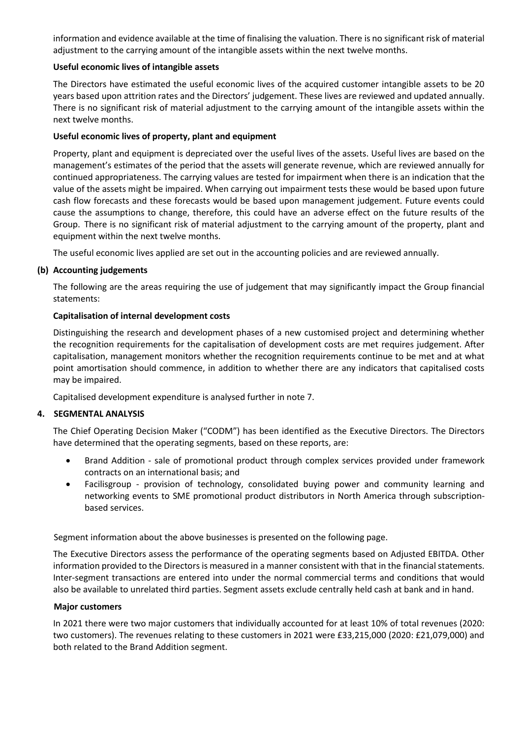information and evidence available at the time of finalising the valuation. There is no significant risk of material adjustment to the carrying amount of the intangible assets within the next twelve months.

#### **Useful economic lives of intangible assets**

The Directors have estimated the useful economic lives of the acquired customer intangible assets to be 20 years based upon attrition rates and the Directors' judgement. These lives are reviewed and updated annually. There is no significant risk of material adjustment to the carrying amount of the intangible assets within the next twelve months.

#### **Useful economic lives of property, plant and equipment**

Property, plant and equipment is depreciated over the useful lives of the assets. Useful lives are based on the management's estimates of the period that the assets will generate revenue, which are reviewed annually for continued appropriateness. The carrying values are tested for impairment when there is an indication that the value of the assets might be impaired. When carrying out impairment tests these would be based upon future cash flow forecasts and these forecasts would be based upon management judgement. Future events could cause the assumptions to change, therefore, this could have an adverse effect on the future results of the Group. There is no significant risk of material adjustment to the carrying amount of the property, plant and equipment within the next twelve months.

The useful economic lives applied are set out in the accounting policies and are reviewed annually.

#### **(b) Accounting judgements**

The following are the areas requiring the use of judgement that may significantly impact the Group financial statements:

#### **Capitalisation of internal development costs**

Distinguishing the research and development phases of a new customised project and determining whether the recognition requirements for the capitalisation of development costs are met requires judgement. After capitalisation, management monitors whether the recognition requirements continue to be met and at what point amortisation should commence, in addition to whether there are any indicators that capitalised costs may be impaired.

Capitalised development expenditure is analysed further in note 7.

#### **4. SEGMENTAL ANALYSIS**

The Chief Operating Decision Maker ("CODM") has been identified as the Executive Directors. The Directors have determined that the operating segments, based on these reports, are:

- Brand Addition sale of promotional product through complex services provided under framework contracts on an international basis; and
- Facilisgroup provision of technology, consolidated buying power and community learning and networking events to SME promotional product distributors in North America through subscriptionbased services.

Segment information about the above businesses is presented on the following page.

The Executive Directors assess the performance of the operating segments based on Adjusted EBITDA. Other information provided to the Directors is measured in a manner consistent with that in the financial statements. Inter-segment transactions are entered into under the normal commercial terms and conditions that would also be available to unrelated third parties. Segment assets exclude centrally held cash at bank and in hand.

#### **Major customers**

In 2021 there were two major customers that individually accounted for at least 10% of total revenues (2020: two customers). The revenues relating to these customers in 2021 were £33,215,000 (2020: £21,079,000) and both related to the Brand Addition segment.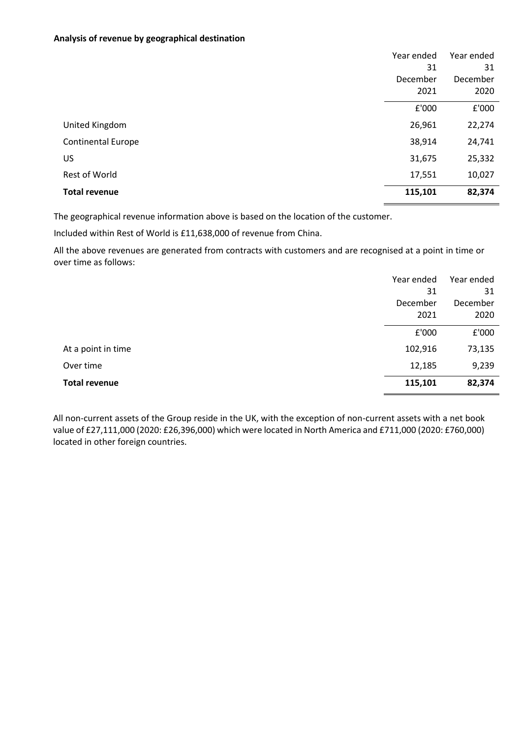#### **Analysis of revenue by geographical destination**

|                           | Year ended | Year ended |
|---------------------------|------------|------------|
|                           | 31         | 31         |
|                           | December   | December   |
|                           | 2021       | 2020       |
|                           | £'000      | £'000      |
| United Kingdom            | 26,961     | 22,274     |
| <b>Continental Europe</b> | 38,914     | 24,741     |
| US                        | 31,675     | 25,332     |
| Rest of World             | 17,551     | 10,027     |
| <b>Total revenue</b>      | 115,101    | 82,374     |

The geographical revenue information above is based on the location of the customer.

Included within Rest of World is £11,638,000 of revenue from China.

All the above revenues are generated from contracts with customers and are recognised at a point in time or over time as follows:

|                      | Year ended | Year ended |
|----------------------|------------|------------|
|                      | 31         | 31         |
|                      | December   | December   |
|                      | 2021       | 2020       |
|                      | £'000      | £'000      |
| At a point in time   | 102,916    | 73,135     |
| Over time            | 12,185     | 9,239      |
| <b>Total revenue</b> | 115,101    | 82,374     |

All non-current assets of the Group reside in the UK, with the exception of non-current assets with a net book value of £27,111,000 (2020: £26,396,000) which were located in North America and £711,000 (2020: £760,000) located in other foreign countries.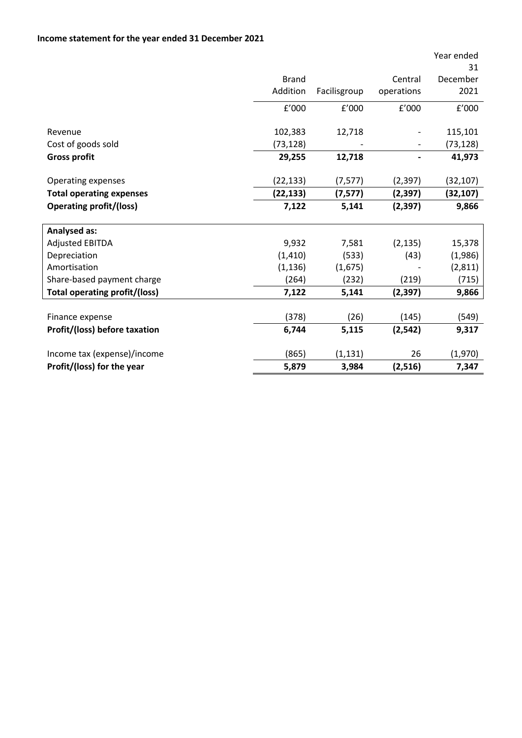|                                 |              |              |            | Year ended<br>31 |
|---------------------------------|--------------|--------------|------------|------------------|
|                                 | <b>Brand</b> |              | Central    | December         |
|                                 | Addition     | Facilisgroup | operations | 2021             |
|                                 | f'000        | f'000        | f'000      | f'000            |
| Revenue                         | 102,383      | 12,718       |            | 115,101          |
| Cost of goods sold              | (73,128)     |              |            | (73, 128)        |
| <b>Gross profit</b>             | 29,255       | 12,718       |            | 41,973           |
| <b>Operating expenses</b>       | (22, 133)    | (7, 577)     | (2, 397)   | (32,107)         |
| <b>Total operating expenses</b> | (22, 133)    | (7, 577)     | (2, 397)   | (32,107)         |
| <b>Operating profit/(loss)</b>  | 7,122        | 5,141        | (2, 397)   | 9,866            |
| <b>Analysed as:</b>             |              |              |            |                  |
| <b>Adjusted EBITDA</b>          | 9,932        | 7,581        | (2, 135)   | 15,378           |
| Depreciation                    | (1, 410)     | (533)        | (43)       | (1,986)          |
| Amortisation                    | (1, 136)     | (1,675)      |            | (2, 811)         |
| Share-based payment charge      | (264)        | (232)        | (219)      | (715)            |
| Total operating profit/(loss)   | 7,122        | 5,141        | (2, 397)   | 9,866            |
|                                 |              |              |            |                  |
| Finance expense                 | (378)        | (26)         | (145)      | (549)            |
| Profit/(loss) before taxation   | 6,744        | 5,115        | (2, 542)   | 9,317            |
| Income tax (expense)/income     | (865)        | (1, 131)     | 26         | (1,970)          |
| Profit/(loss) for the year      | 5,879        | 3,984        | (2,516)    | 7,347            |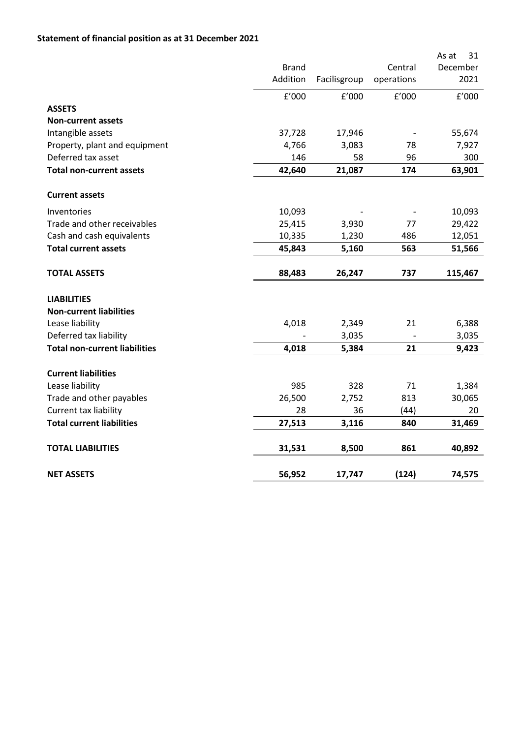### **Statement of financial position as at 31 December 2021**

|                                      |              |              |            | As at<br>31 |
|--------------------------------------|--------------|--------------|------------|-------------|
|                                      | <b>Brand</b> |              | Central    | December    |
|                                      | Addition     | Facilisgroup | operations | 2021        |
|                                      | f'000        | f'000        | f'000      | f'000       |
| <b>ASSETS</b>                        |              |              |            |             |
| <b>Non-current assets</b>            |              |              |            |             |
| Intangible assets                    | 37,728       | 17,946       |            | 55,674      |
| Property, plant and equipment        | 4,766        | 3,083        | 78         | 7,927       |
| Deferred tax asset                   | 146          | 58           | 96         | 300         |
| <b>Total non-current assets</b>      | 42,640       | 21,087       | 174        | 63,901      |
| <b>Current assets</b>                |              |              |            |             |
| Inventories                          | 10,093       |              |            | 10,093      |
| Trade and other receivables          | 25,415       | 3,930        | 77         | 29,422      |
| Cash and cash equivalents            | 10,335       | 1,230        | 486        | 12,051      |
| <b>Total current assets</b>          | 45,843       | 5,160        | 563        | 51,566      |
| <b>TOTAL ASSETS</b>                  | 88,483       | 26,247       | 737        | 115,467     |
| <b>LIABILITIES</b>                   |              |              |            |             |
| <b>Non-current liabilities</b>       |              |              |            |             |
| Lease liability                      | 4,018        | 2,349        | 21         | 6,388       |
| Deferred tax liability               |              | 3,035        |            | 3,035       |
| <b>Total non-current liabilities</b> | 4,018        | 5,384        | 21         | 9,423       |
| <b>Current liabilities</b>           |              |              |            |             |
| Lease liability                      | 985          | 328          | 71         | 1,384       |
| Trade and other payables             | 26,500       | 2,752        | 813        | 30,065      |
| Current tax liability                | 28           | 36           | (44)       | 20          |
| <b>Total current liabilities</b>     | 27,513       | 3,116        | 840        | 31,469      |
| <b>TOTAL LIABILITIES</b>             | 31,531       | 8,500        | 861        | 40,892      |
| <b>NET ASSETS</b>                    | 56,952       | 17,747       | (124)      | 74,575      |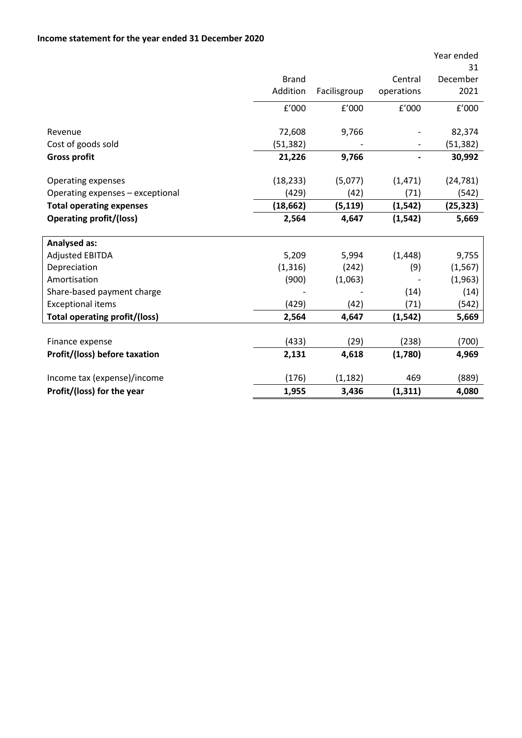|                                      | <b>Brand</b> |              | Central    | Year ended<br>31<br>December |
|--------------------------------------|--------------|--------------|------------|------------------------------|
|                                      | Addition     | Facilisgroup | operations | 2021                         |
|                                      | f'000        | f'000        | f'000      | f'000                        |
| Revenue                              | 72,608       | 9,766        |            | 82,374                       |
| Cost of goods sold                   | (51,382)     |              |            | (51, 382)                    |
| <b>Gross profit</b>                  | 21,226       | 9,766        |            | 30,992                       |
|                                      |              |              |            |                              |
| <b>Operating expenses</b>            | (18, 233)    | (5,077)      | (1, 471)   | (24, 781)                    |
| Operating expenses - exceptional     | (429)        | (42)         | (71)       | (542)                        |
| <b>Total operating expenses</b>      | (18, 662)    | (5, 119)     | (1, 542)   | (25, 323)                    |
| <b>Operating profit/(loss)</b>       | 2,564        | 4,647        | (1, 542)   | 5,669                        |
| <b>Analysed as:</b>                  |              |              |            |                              |
| <b>Adjusted EBITDA</b>               | 5,209        | 5,994        | (1, 448)   | 9,755                        |
| Depreciation                         | (1, 316)     | (242)        | (9)        | (1, 567)                     |
| Amortisation                         | (900)        | (1,063)      |            | (1,963)                      |
| Share-based payment charge           |              |              | (14)       | (14)                         |
| <b>Exceptional items</b>             | (429)        | (42)         | (71)       | (542)                        |
| <b>Total operating profit/(loss)</b> | 2,564        | 4,647        | (1, 542)   | 5,669                        |
|                                      |              |              |            |                              |
| Finance expense                      | (433)        | (29)         | (238)      | (700)                        |
| Profit/(loss) before taxation        | 2,131        | 4,618        | (1,780)    | 4,969                        |
|                                      |              |              |            |                              |
| Income tax (expense)/income          | (176)        | (1, 182)     | 469        | (889)                        |
| Profit/(loss) for the year           | 1,955        | 3,436        | (1, 311)   | 4,080                        |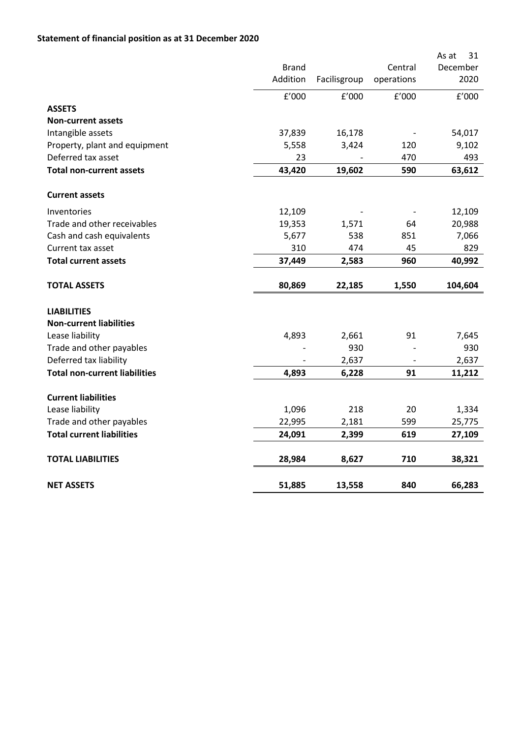### **Statement of financial position as at 31 December 2020**

|                                      |              |              |            | As at<br>31 |
|--------------------------------------|--------------|--------------|------------|-------------|
|                                      | <b>Brand</b> |              | Central    | December    |
|                                      | Addition     | Facilisgroup | operations | 2020        |
|                                      | E'000        | f'000        | f'000      | f'000       |
| <b>ASSETS</b>                        |              |              |            |             |
| <b>Non-current assets</b>            |              |              |            |             |
| Intangible assets                    | 37,839       | 16,178       |            | 54,017      |
| Property, plant and equipment        | 5,558        | 3,424        | 120        | 9,102       |
| Deferred tax asset                   | 23           |              | 470        | 493         |
| <b>Total non-current assets</b>      | 43,420       | 19,602       | 590        | 63,612      |
| <b>Current assets</b>                |              |              |            |             |
| Inventories                          | 12,109       |              |            | 12,109      |
| Trade and other receivables          | 19,353       | 1,571        | 64         | 20,988      |
| Cash and cash equivalents            | 5,677        | 538          | 851        | 7,066       |
| Current tax asset                    | 310          | 474          | 45         | 829         |
| <b>Total current assets</b>          | 37,449       | 2,583        | 960        | 40,992      |
| <b>TOTAL ASSETS</b>                  | 80,869       | 22,185       | 1,550      | 104,604     |
| <b>LIABILITIES</b>                   |              |              |            |             |
| <b>Non-current liabilities</b>       |              |              |            |             |
| Lease liability                      | 4,893        | 2,661        | 91         | 7,645       |
| Trade and other payables             |              | 930          |            | 930         |
| Deferred tax liability               |              | 2,637        |            | 2,637       |
| <b>Total non-current liabilities</b> | 4,893        | 6,228        | 91         | 11,212      |
| <b>Current liabilities</b>           |              |              |            |             |
| Lease liability                      | 1,096        | 218          | 20         | 1,334       |
| Trade and other payables             | 22,995       | 2,181        | 599        | 25,775      |
| <b>Total current liabilities</b>     | 24,091       | 2,399        | 619        | 27,109      |
| <b>TOTAL LIABILITIES</b>             | 28,984       | 8,627        | 710        | 38,321      |
| <b>NET ASSETS</b>                    | 51,885       | 13,558       | 840        | 66,283      |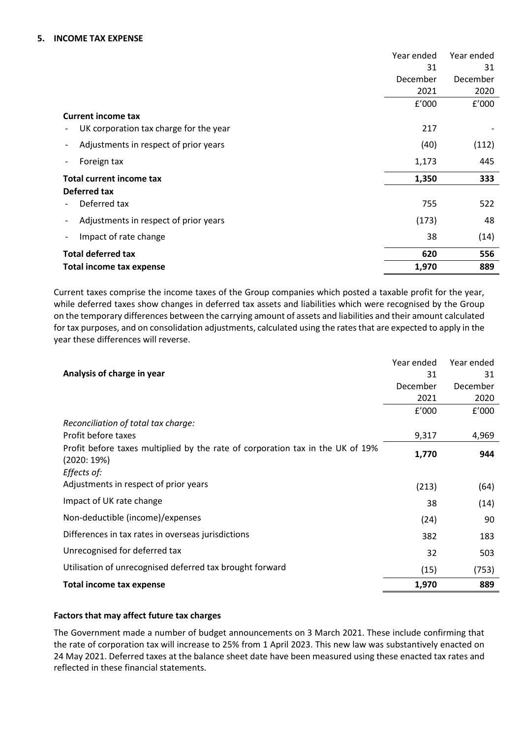#### **5. INCOME TAX EXPENSE**

|                                                                    | Year ended | Year ended |
|--------------------------------------------------------------------|------------|------------|
|                                                                    | 31         | 31         |
|                                                                    | December   | December   |
|                                                                    | 2021       | 2020       |
|                                                                    | f'000      | f'000      |
| <b>Current income tax</b>                                          |            |            |
| UK corporation tax charge for the year<br>$\overline{\phantom{a}}$ | 217        |            |
| Adjustments in respect of prior years<br>٠                         | (40)       | (112)      |
| Foreign tax<br>$\overline{\phantom{a}}$                            | 1,173      | 445        |
| <b>Total current income tax</b>                                    | 1,350      | 333        |
| Deferred tax                                                       |            |            |
| Deferred tax                                                       | 755        | 522        |
| Adjustments in respect of prior years<br>$\overline{\phantom{a}}$  | (173)      | 48         |
| Impact of rate change                                              | 38         | (14)       |
| <b>Total deferred tax</b>                                          | 620        | 556        |
| Total income tax expense                                           | 1,970      | 889        |

Current taxes comprise the income taxes of the Group companies which posted a taxable profit for the year, while deferred taxes show changes in deferred tax assets and liabilities which were recognised by the Group on the temporary differences between the carrying amount of assets and liabilities and their amount calculated for tax purposes, and on consolidation adjustments, calculated using the rates that are expected to apply in the year these differences will reverse.

|                                                                                              | Year ended | Year ended |
|----------------------------------------------------------------------------------------------|------------|------------|
| Analysis of charge in year                                                                   | 31         | 31         |
|                                                                                              | December   | December   |
|                                                                                              | 2021       | 2020       |
|                                                                                              | f'000      | f'000      |
| Reconciliation of total tax charge:                                                          |            |            |
| Profit before taxes                                                                          | 9,317      | 4,969      |
| Profit before taxes multiplied by the rate of corporation tax in the UK of 19%<br>(2020:19%) | 1,770      | 944        |
| Effects of:                                                                                  |            |            |
| Adjustments in respect of prior years                                                        | (213)      | (64)       |
| Impact of UK rate change                                                                     | 38         | (14)       |
| Non-deductible (income)/expenses                                                             | (24)       | 90         |
| Differences in tax rates in overseas jurisdictions                                           | 382        | 183        |
| Unrecognised for deferred tax                                                                | 32         | 503        |
| Utilisation of unrecognised deferred tax brought forward                                     | (15)       | (753)      |
| <b>Total income tax expense</b>                                                              | 1,970      | 889        |

#### **Factors that may affect future tax charges**

The Government made a number of budget announcements on 3 March 2021. These include confirming that the rate of corporation tax will increase to 25% from 1 April 2023. This new law was substantively enacted on 24 May 2021. Deferred taxes at the balance sheet date have been measured using these enacted tax rates and reflected in these financial statements.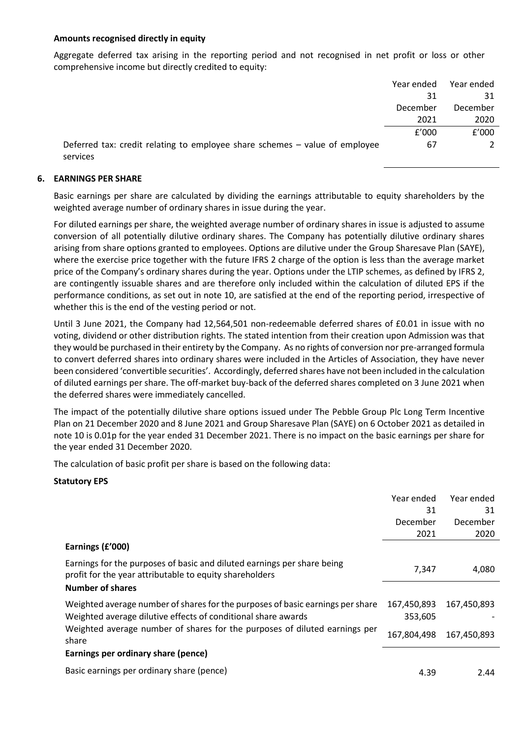#### **Amounts recognised directly in equity**

Aggregate deferred tax arising in the reporting period and not recognised in net profit or loss or other comprehensive income but directly credited to equity:

|                                                                                         | Year ended | Year ended    |
|-----------------------------------------------------------------------------------------|------------|---------------|
|                                                                                         | 31         | 31            |
|                                                                                         | December   | December      |
|                                                                                         | 2021       | 2020          |
|                                                                                         | f'000      | f'000         |
| Deferred tax: credit relating to employee share schemes - value of employee<br>services | 67         | $\mathcal{L}$ |

#### **6. EARNINGS PER SHARE**

Basic earnings per share are calculated by dividing the earnings attributable to equity shareholders by the weighted average number of ordinary shares in issue during the year.

For diluted earnings per share, the weighted average number of ordinary shares in issue is adjusted to assume conversion of all potentially dilutive ordinary shares. The Company has potentially dilutive ordinary shares arising from share options granted to employees. Options are dilutive under the Group Sharesave Plan (SAYE), where the exercise price together with the future IFRS 2 charge of the option is less than the average market price of the Company's ordinary shares during the year. Options under the LTIP schemes, as defined by IFRS 2, are contingently issuable shares and are therefore only included within the calculation of diluted EPS if the performance conditions, as set out in note 10, are satisfied at the end of the reporting period, irrespective of whether this is the end of the vesting period or not.

Until 3 June 2021, the Company had 12,564,501 non-redeemable deferred shares of £0.01 in issue with no voting, dividend or other distribution rights. The stated intention from their creation upon Admission was that they would be purchased in their entirety by the Company. As no rights of conversion nor pre-arranged formula to convert deferred shares into ordinary shares were included in the Articles of Association, they have never been considered 'convertible securities'. Accordingly, deferred shares have not been included in the calculation of diluted earnings per share. The off-market buy-back of the deferred shares completed on 3 June 2021 when the deferred shares were immediately cancelled.

The impact of the potentially dilutive share options issued under The Pebble Group Plc Long Term Incentive Plan on 21 December 2020 and 8 June 2021 and Group Sharesave Plan (SAYE) on 6 October 2021 as detailed in note 10 is 0.01p for the year ended 31 December 2021. There is no impact on the basic earnings per share for the year ended 31 December 2020.

The calculation of basic profit per share is based on the following data:

#### **Statutory EPS**

|                                                                                                                                    | Year ended  | Year ended  |
|------------------------------------------------------------------------------------------------------------------------------------|-------------|-------------|
|                                                                                                                                    | 31          | 31          |
|                                                                                                                                    | December    | December    |
|                                                                                                                                    | 2021        | 2020        |
| Earnings (£'000)                                                                                                                   |             |             |
| Earnings for the purposes of basic and diluted earnings per share being<br>profit for the year attributable to equity shareholders | 7,347       | 4,080       |
| <b>Number of shares</b>                                                                                                            |             |             |
| Weighted average number of shares for the purposes of basic earnings per share                                                     | 167,450,893 | 167,450,893 |
| Weighted average dilutive effects of conditional share awards                                                                      | 353,605     |             |
| Weighted average number of shares for the purposes of diluted earnings per<br>share                                                | 167,804,498 | 167,450,893 |
| Earnings per ordinary share (pence)                                                                                                |             |             |
| Basic earnings per ordinary share (pence)                                                                                          | 4.39        | 2.44        |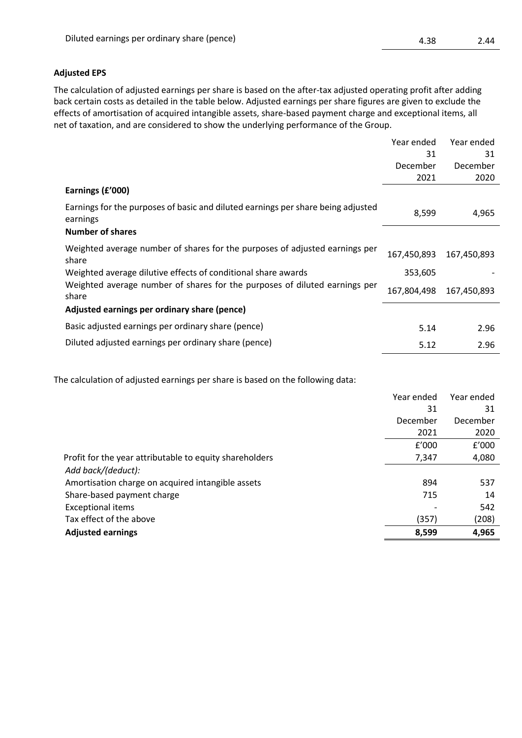#### **Adjusted EPS**

The calculation of adjusted earnings per share is based on the after-tax adjusted operating profit after adding back certain costs as detailed in the table below. Adjusted earnings per share figures are given to exclude the effects of amortisation of acquired intangible assets, share-based payment charge and exceptional items, all net of taxation, and are considered to show the underlying performance of the Group.

|                                                                                              | Year ended  | Year ended  |
|----------------------------------------------------------------------------------------------|-------------|-------------|
|                                                                                              | 31          | 31          |
|                                                                                              | December    | December    |
|                                                                                              | 2021        | 2020        |
| Earnings (£'000)                                                                             |             |             |
| Earnings for the purposes of basic and diluted earnings per share being adjusted<br>earnings | 8,599       | 4,965       |
| <b>Number of shares</b>                                                                      |             |             |
| Weighted average number of shares for the purposes of adjusted earnings per<br>share         | 167,450,893 | 167,450,893 |
| Weighted average dilutive effects of conditional share awards                                | 353,605     |             |
| Weighted average number of shares for the purposes of diluted earnings per<br>share          | 167,804,498 | 167,450,893 |
| Adjusted earnings per ordinary share (pence)                                                 |             |             |
| Basic adjusted earnings per ordinary share (pence)                                           | 5.14        | 2.96        |
| Diluted adjusted earnings per ordinary share (pence)                                         | 5.12        | 2.96        |

The calculation of adjusted earnings per share is based on the following data:

|                                                         | Year ended | Year ended |
|---------------------------------------------------------|------------|------------|
|                                                         | 31         | 31         |
|                                                         | December   | December   |
|                                                         | 2021       | 2020       |
|                                                         | f'000      | f'000      |
| Profit for the year attributable to equity shareholders | 7,347      | 4,080      |
| Add back/(deduct):                                      |            |            |
| Amortisation charge on acquired intangible assets       | 894        | 537        |
| Share-based payment charge                              | 715        | 14         |
| <b>Exceptional items</b>                                |            | 542        |
| Tax effect of the above                                 | (357)      | (208)      |
| <b>Adjusted earnings</b>                                | 8,599      | 4,965      |
|                                                         |            |            |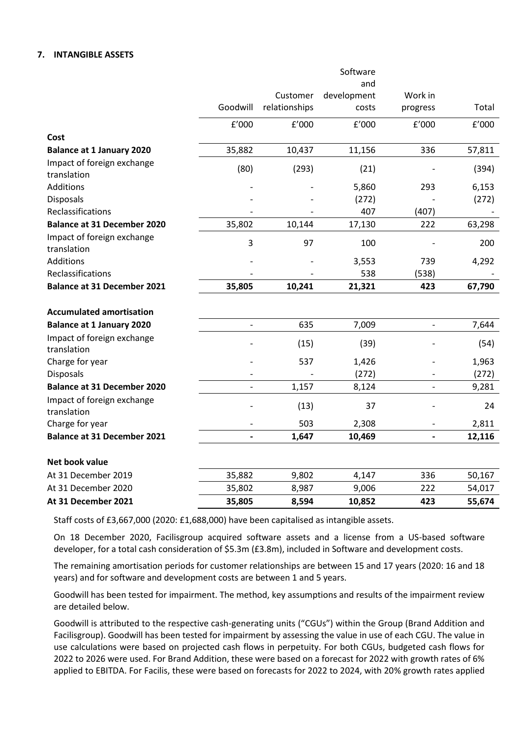#### **7. INTANGIBLE ASSETS**

|                                           |                          |               | Software    |                          |        |
|-------------------------------------------|--------------------------|---------------|-------------|--------------------------|--------|
|                                           |                          |               | and         |                          |        |
|                                           |                          | Customer      | development | Work in                  |        |
|                                           | Goodwill                 | relationships | costs       | progress                 | Total  |
|                                           | f'000                    | f'000         | f'000       | f'000                    | f'000  |
| Cost                                      |                          |               |             |                          |        |
| <b>Balance at 1 January 2020</b>          | 35,882                   | 10,437        | 11,156      | 336                      | 57,811 |
| Impact of foreign exchange                | (80)                     | (293)         | (21)        |                          | (394)  |
| translation                               |                          |               |             |                          |        |
| Additions                                 |                          |               | 5,860       | 293                      | 6,153  |
| <b>Disposals</b>                          |                          |               | (272)       |                          | (272)  |
| Reclassifications                         |                          |               | 407         | (407)                    |        |
| <b>Balance at 31 December 2020</b>        | 35,802                   | 10,144        | 17,130      | 222                      | 63,298 |
| Impact of foreign exchange<br>translation | 3                        | 97            | 100         |                          | 200    |
| Additions                                 |                          |               | 3,553       | 739                      | 4,292  |
| Reclassifications                         |                          |               | 538         | (538)                    |        |
| <b>Balance at 31 December 2021</b>        | 35,805                   | 10,241        | 21,321      | 423                      | 67,790 |
|                                           |                          |               |             |                          |        |
| <b>Accumulated amortisation</b>           |                          |               |             |                          |        |
| <b>Balance at 1 January 2020</b>          | $\overline{a}$           | 635           | 7,009       | $\overline{\phantom{a}}$ | 7,644  |
| Impact of foreign exchange<br>translation |                          | (15)          | (39)        |                          | (54)   |
| Charge for year                           |                          | 537           | 1,426       |                          | 1,963  |
| Disposals                                 |                          |               | (272)       |                          | (272)  |
| <b>Balance at 31 December 2020</b>        |                          | 1,157         | 8,124       | $\overline{a}$           | 9,281  |
| Impact of foreign exchange<br>translation |                          | (13)          | 37          |                          | 24     |
| Charge for year                           |                          | 503           | 2,308       |                          | 2,811  |
| <b>Balance at 31 December 2021</b>        | $\overline{\phantom{0}}$ | 1,647         | 10,469      | $\overline{\phantom{a}}$ | 12,116 |
| Net book value                            |                          |               |             |                          |        |
| At 31 December 2019                       | 35,882                   | 9,802         | 4,147       | 336                      | 50,167 |
| At 31 December 2020                       | 35,802                   | 8,987         | 9,006       | 222                      | 54,017 |
| At 31 December 2021                       | 35,805                   | 8,594         | 10,852      | 423                      | 55,674 |
|                                           |                          |               |             |                          |        |

Staff costs of £3,667,000 (2020: £1,688,000) have been capitalised as intangible assets.

On 18 December 2020, Facilisgroup acquired software assets and a license from a US-based software developer, for a total cash consideration of \$5.3m (£3.8m), included in Software and development costs.

The remaining amortisation periods for customer relationships are between 15 and 17 years (2020: 16 and 18 years) and for software and development costs are between 1 and 5 years.

Goodwill has been tested for impairment. The method, key assumptions and results of the impairment review are detailed below.

Goodwill is attributed to the respective cash-generating units ("CGUs") within the Group (Brand Addition and Facilisgroup). Goodwill has been tested for impairment by assessing the value in use of each CGU. The value in use calculations were based on projected cash flows in perpetuity. For both CGUs, budgeted cash flows for 2022 to 2026 were used. For Brand Addition, these were based on a forecast for 2022 with growth rates of 6% applied to EBITDA. For Facilis, these were based on forecasts for 2022 to 2024, with 20% growth rates applied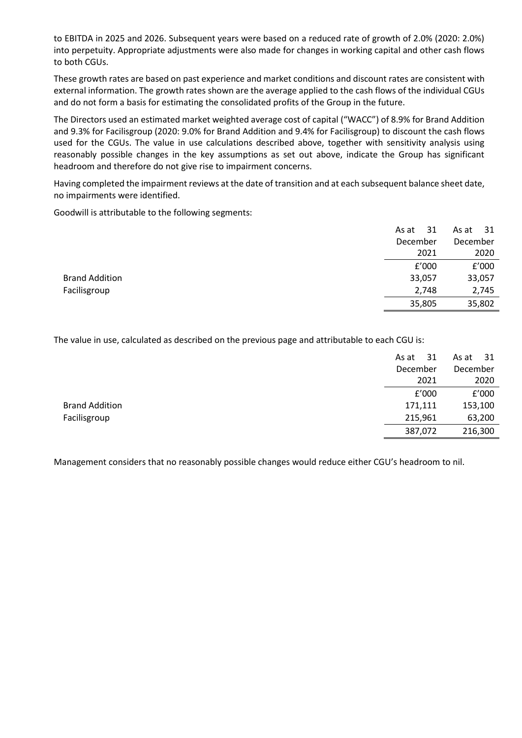to EBITDA in 2025 and 2026. Subsequent years were based on a reduced rate of growth of 2.0% (2020: 2.0%) into perpetuity. Appropriate adjustments were also made for changes in working capital and other cash flows to both CGUs.

These growth rates are based on past experience and market conditions and discount rates are consistent with external information. The growth rates shown are the average applied to the cash flows of the individual CGUs and do not form a basis for estimating the consolidated profits of the Group in the future.

The Directors used an estimated market weighted average cost of capital ("WACC") of 8.9% for Brand Addition and 9.3% for Facilisgroup (2020: 9.0% for Brand Addition and 9.4% for Facilisgroup) to discount the cash flows used for the CGUs. The value in use calculations described above, together with sensitivity analysis using reasonably possible changes in the key assumptions as set out above, indicate the Group has significant headroom and therefore do not give rise to impairment concerns.

Having completed the impairment reviews at the date of transition and at each subsequent balance sheet date, no impairments were identified.

Goodwill is attributable to the following segments:

|                       | 31<br>As at | - 31<br>As at |
|-----------------------|-------------|---------------|
|                       | December    | December      |
|                       | 2021        | 2020          |
|                       | f'000       | f'000         |
| <b>Brand Addition</b> | 33,057      | 33,057        |
| Facilisgroup          | 2,748       | 2,745         |
|                       | 35,805      | 35,802        |

The value in use, calculated as described on the previous page and attributable to each CGU is:

|                       | 31<br>As at | As at $31$ |
|-----------------------|-------------|------------|
|                       | December    | December   |
|                       | 2021        | 2020       |
|                       | f'000       | f'000      |
| <b>Brand Addition</b> | 171,111     | 153,100    |
| Facilisgroup          | 215,961     | 63,200     |
|                       | 387,072     | 216,300    |

Management considers that no reasonably possible changes would reduce either CGU's headroom to nil.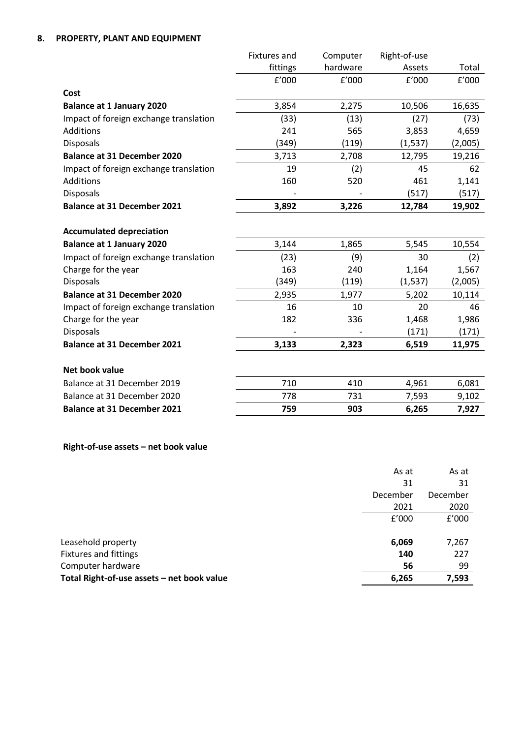|                                        | <b>Fixtures</b> and | Computer | Right-of-use |         |
|----------------------------------------|---------------------|----------|--------------|---------|
|                                        | fittings            | hardware | Assets       | Total   |
|                                        | f'000               | f'000    | f'000        | f'000   |
| Cost                                   |                     |          |              |         |
| <b>Balance at 1 January 2020</b>       | 3,854               | 2,275    | 10,506       | 16,635  |
| Impact of foreign exchange translation | (33)                | (13)     | (27)         | (73)    |
| <b>Additions</b>                       | 241                 | 565      | 3,853        | 4,659   |
| <b>Disposals</b>                       | (349)               | (119)    | (1, 537)     | (2,005) |
| <b>Balance at 31 December 2020</b>     | 3,713               | 2,708    | 12,795       | 19,216  |
| Impact of foreign exchange translation | 19                  | (2)      | 45           | 62      |
| Additions                              | 160                 | 520      | 461          | 1,141   |
| <b>Disposals</b>                       |                     |          | (517)        | (517)   |
| <b>Balance at 31 December 2021</b>     | 3,892               | 3,226    | 12,784       | 19,902  |
|                                        |                     |          |              |         |
| <b>Accumulated depreciation</b>        |                     |          |              |         |
| <b>Balance at 1 January 2020</b>       | 3,144               | 1,865    | 5,545        | 10,554  |
| Impact of foreign exchange translation | (23)                | (9)      | 30           | (2)     |
| Charge for the year                    | 163                 | 240      | 1,164        | 1,567   |
| <b>Disposals</b>                       | (349)               | (119)    | (1, 537)     | (2,005) |
| <b>Balance at 31 December 2020</b>     | 2,935               | 1,977    | 5,202        | 10,114  |
| Impact of foreign exchange translation | 16                  | 10       | 20           | 46      |
| Charge for the year                    | 182                 | 336      | 1,468        | 1,986   |
| <b>Disposals</b>                       |                     |          | (171)        | (171)   |
| <b>Balance at 31 December 2021</b>     | 3,133               | 2,323    | 6,519        | 11,975  |
|                                        |                     |          |              |         |
| Net book value                         |                     |          |              |         |
| Balance at 31 December 2019            | 710                 | 410      | 4,961        | 6,081   |
| Balance at 31 December 2020            | 778                 | 731      | 7,593        | 9,102   |
| <b>Balance at 31 December 2021</b>     | 759                 | 903      | 6,265        | 7,927   |

### **Right-of-use assets – net book value**

|                                            | As at    | As at    |
|--------------------------------------------|----------|----------|
|                                            | 31       | 31       |
|                                            | December | December |
|                                            | 2021     | 2020     |
|                                            | f'000    | f'000    |
|                                            |          |          |
| Leasehold property                         | 6,069    | 7,267    |
| <b>Fixtures and fittings</b>               | 140      | 227      |
| Computer hardware                          | 56       | 99       |
| Total Right-of-use assets - net book value | 6,265    | 7,593    |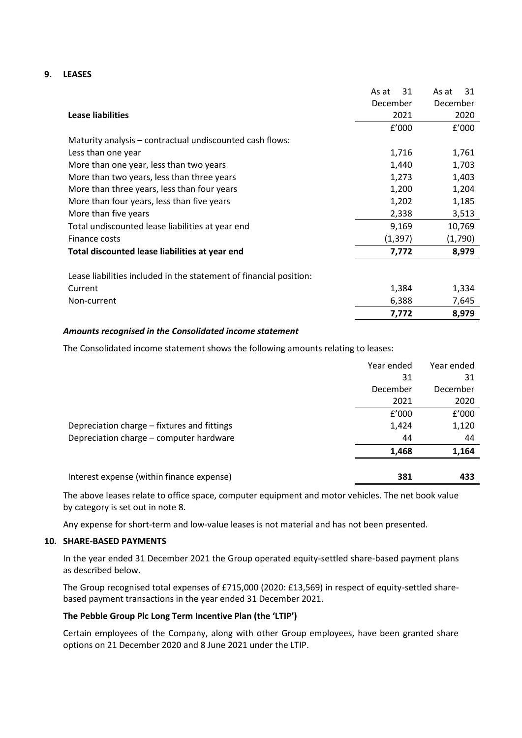#### **9. LEASES**

|                                                                    | 31<br>As at | 31<br>As at |
|--------------------------------------------------------------------|-------------|-------------|
|                                                                    | December    | December    |
| <b>Lease liabilities</b>                                           | 2021        | 2020        |
|                                                                    | f'000       | f'000       |
| Maturity analysis – contractual undiscounted cash flows:           |             |             |
| Less than one year                                                 | 1,716       | 1,761       |
| More than one year, less than two years                            | 1,440       | 1,703       |
| More than two years, less than three years                         | 1,273       | 1,403       |
| More than three years, less than four years                        | 1,200       | 1,204       |
| More than four years, less than five years                         | 1,202       | 1,185       |
| More than five years                                               | 2,338       | 3,513       |
| Total undiscounted lease liabilities at year end                   | 9,169       | 10,769      |
| Finance costs                                                      | (1, 397)    | (1,790)     |
| Total discounted lease liabilities at year end                     | 7,772       | 8,979       |
| Lease liabilities included in the statement of financial position: |             |             |
| Current                                                            | 1,384       | 1,334       |
|                                                                    |             |             |
| Non-current                                                        | 6,388       | 7,645       |
|                                                                    | 7,772       | 8,979       |

#### *Amounts recognised in the Consolidated income statement*

The Consolidated income statement shows the following amounts relating to leases:

|                                             | Year ended | Year ended |
|---------------------------------------------|------------|------------|
|                                             | 31         | 31         |
|                                             | December   | December   |
|                                             | 2021       | 2020       |
|                                             | £'000      | f'000      |
| Depreciation charge – fixtures and fittings | 1,424      | 1,120      |
| Depreciation charge - computer hardware     | 44         | 44         |
|                                             | 1,468      | 1,164      |
|                                             |            |            |
| Interest expense (within finance expense)   | 381        | 433        |

The above leases relate to office space, computer equipment and motor vehicles. The net book value by category is set out in note 8.

Any expense for short-term and low-value leases is not material and has not been presented.

#### **10. SHARE-BASED PAYMENTS**

In the year ended 31 December 2021 the Group operated equity-settled share-based payment plans as described below.

The Group recognised total expenses of £715,000 (2020: £13,569) in respect of equity-settled sharebased payment transactions in the year ended 31 December 2021.

#### **The Pebble Group Plc Long Term Incentive Plan (the 'LTIP')**

Certain employees of the Company, along with other Group employees, have been granted share options on 21 December 2020 and 8 June 2021 under the LTIP.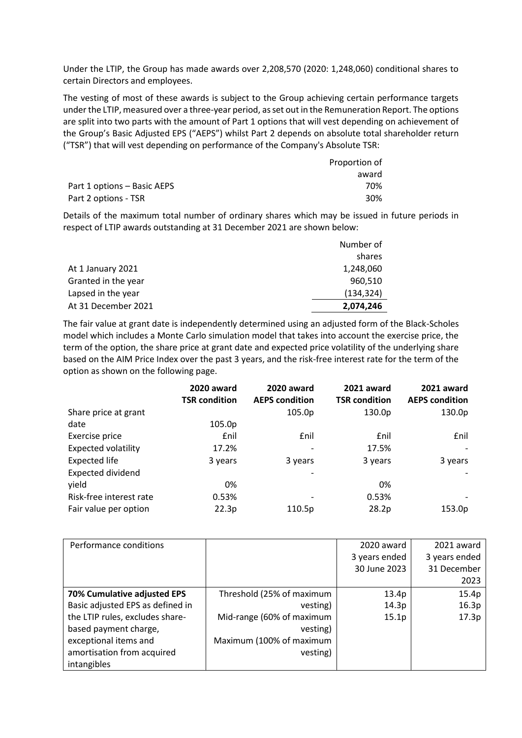Under the LTIP, the Group has made awards over 2,208,570 (2020: 1,248,060) conditional shares to certain Directors and employees.

The vesting of most of these awards is subject to the Group achieving certain performance targets under the LTIP, measured over a three-year period, as set out in the Remuneration Report. The options are split into two parts with the amount of Part 1 options that will vest depending on achievement of the Group's Basic Adjusted EPS ("AEPS") whilst Part 2 depends on absolute total shareholder return ("TSR") that will vest depending on performance of the Company's Absolute TSR:

|                             | Proportion of |
|-----------------------------|---------------|
|                             | award         |
| Part 1 options – Basic AEPS | 70%           |
| Part 2 options - TSR        | 30%           |

Details of the maximum total number of ordinary shares which may be issued in future periods in respect of LTIP awards outstanding at 31 December 2021 are shown below:

|                     | Number of  |
|---------------------|------------|
|                     | shares     |
| At 1 January 2021   | 1,248,060  |
| Granted in the year | 960.510    |
| Lapsed in the year  | (134, 324) |
| At 31 December 2021 | 2,074,246  |

The fair value at grant date is independently determined using an adjusted form of the Black-Scholes model which includes a Monte Carlo simulation model that takes into account the exercise price, the term of the option, the share price at grant date and expected price volatility of the underlying share based on the AIM Price Index over the past 3 years, and the risk-free interest rate for the term of the option as shown on the following page.

|                            | 2020 award<br><b>TSR condition</b> | 2020 award<br><b>AEPS condition</b> | 2021 award<br><b>TSR</b> condition | 2021 award<br><b>AEPS condition</b> |
|----------------------------|------------------------------------|-------------------------------------|------------------------------------|-------------------------------------|
| Share price at grant       |                                    | 105.0p                              | 130.0p                             | 130.0p                              |
| date                       | 105.0p                             |                                     |                                    |                                     |
| Exercise price             | <b>f</b> nil                       | £nil                                | <b>f</b> nil                       | <b>f</b> nil                        |
| <b>Expected volatility</b> | 17.2%                              |                                     | 17.5%                              |                                     |
| <b>Expected life</b>       | 3 years                            | 3 years                             | 3 years                            | 3 years                             |
| <b>Expected dividend</b>   |                                    |                                     |                                    |                                     |
| yield                      | 0%                                 |                                     | 0%                                 |                                     |
| Risk-free interest rate    | 0.53%                              |                                     | 0.53%                              |                                     |
| Fair value per option      | 22.3p                              | 110.5p                              | 28.2p                              | 153.0p                              |

| Performance conditions           |                           | 2020 award        | 2021 award    |
|----------------------------------|---------------------------|-------------------|---------------|
|                                  |                           | 3 years ended     | 3 years ended |
|                                  |                           | 30 June 2023      | 31 December   |
|                                  |                           |                   | 2023          |
| 70% Cumulative adjusted EPS      | Threshold (25% of maximum | 13.4p             | 15.4p         |
| Basic adjusted EPS as defined in | vesting)                  | 14.3p             | 16.3p         |
| the LTIP rules, excludes share-  | Mid-range (60% of maximum | 15.1 <sub>p</sub> | 17.3p         |
| based payment charge,            | vesting)                  |                   |               |
| exceptional items and            | Maximum (100% of maximum  |                   |               |
| amortisation from acquired       | vesting)                  |                   |               |
| intangibles                      |                           |                   |               |